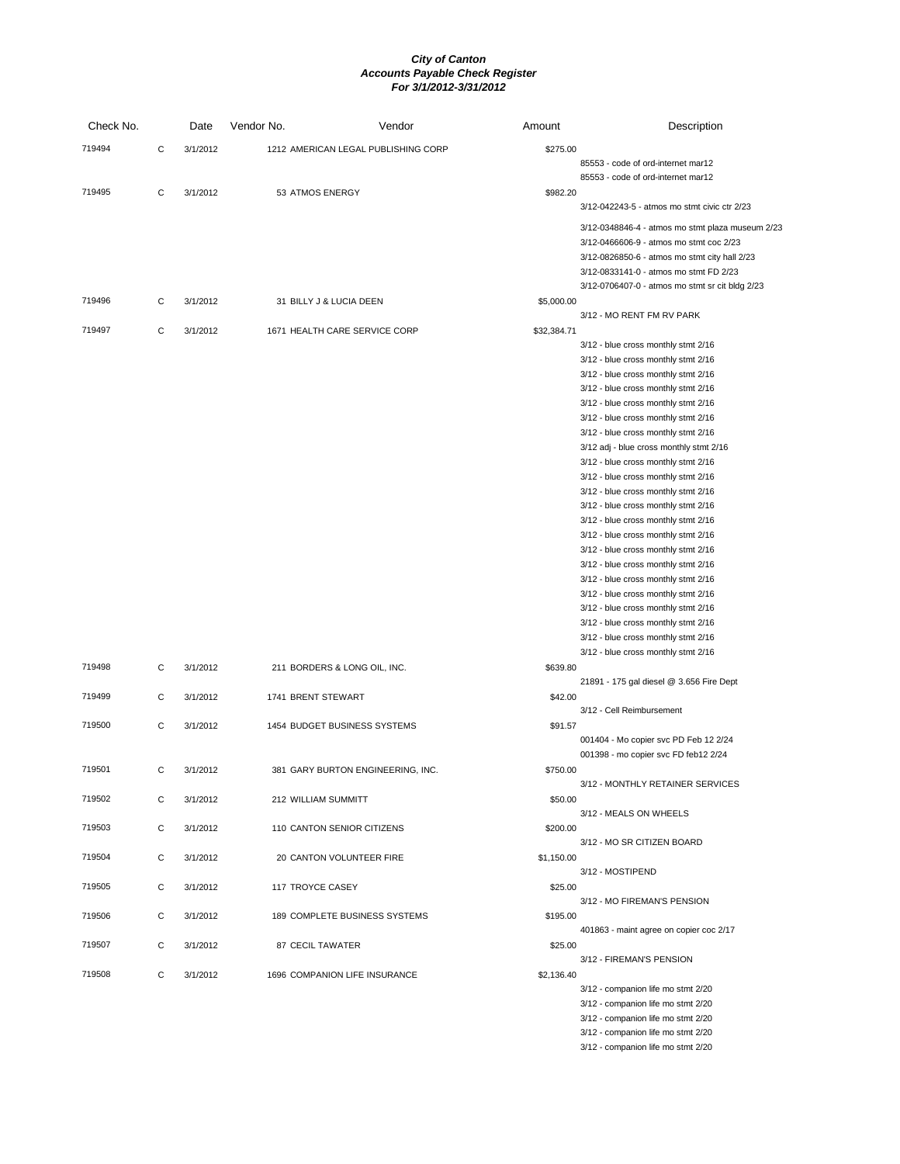| Check No. |   | Date     | Vendor No.         | Vendor                              | Amount      | Description                                                                                                                                                                                                                                                                                                                                                                                                                                                                                                                                                                                                                                                                                                                                                                                                                                                                                |
|-----------|---|----------|--------------------|-------------------------------------|-------------|--------------------------------------------------------------------------------------------------------------------------------------------------------------------------------------------------------------------------------------------------------------------------------------------------------------------------------------------------------------------------------------------------------------------------------------------------------------------------------------------------------------------------------------------------------------------------------------------------------------------------------------------------------------------------------------------------------------------------------------------------------------------------------------------------------------------------------------------------------------------------------------------|
| 719494    | С | 3/1/2012 |                    | 1212 AMERICAN LEGAL PUBLISHING CORP | \$275.00    | 85553 - code of ord-internet mar12<br>85553 - code of ord-internet mar12                                                                                                                                                                                                                                                                                                                                                                                                                                                                                                                                                                                                                                                                                                                                                                                                                   |
| 719495    | С | 3/1/2012 |                    | 53 ATMOS ENERGY                     | \$982.20    |                                                                                                                                                                                                                                                                                                                                                                                                                                                                                                                                                                                                                                                                                                                                                                                                                                                                                            |
|           |   |          |                    |                                     |             | 3/12-042243-5 - atmos mo stmt civic ctr 2/23                                                                                                                                                                                                                                                                                                                                                                                                                                                                                                                                                                                                                                                                                                                                                                                                                                               |
|           |   |          |                    |                                     |             | 3/12-0348846-4 - atmos mo stmt plaza museum 2/23<br>3/12-0466606-9 - atmos mo stmt coc 2/23<br>3/12-0826850-6 - atmos mo stmt city hall 2/23<br>3/12-0833141-0 - atmos mo stmt FD 2/23<br>3/12-0706407-0 - atmos mo stmt sr cit bldg 2/23                                                                                                                                                                                                                                                                                                                                                                                                                                                                                                                                                                                                                                                  |
| 719496    | С | 3/1/2012 |                    | 31 BILLY J & LUCIA DEEN             | \$5,000.00  |                                                                                                                                                                                                                                                                                                                                                                                                                                                                                                                                                                                                                                                                                                                                                                                                                                                                                            |
|           |   |          |                    |                                     |             | 3/12 - MO RENT FM RV PARK                                                                                                                                                                                                                                                                                                                                                                                                                                                                                                                                                                                                                                                                                                                                                                                                                                                                  |
| 719497    | С | 3/1/2012 |                    | 1671 HEALTH CARE SERVICE CORP       | \$32,384.71 | 3/12 - blue cross monthly stmt 2/16<br>3/12 - blue cross monthly stmt 2/16<br>3/12 - blue cross monthly stmt 2/16<br>3/12 - blue cross monthly stmt 2/16<br>3/12 - blue cross monthly stmt 2/16<br>3/12 - blue cross monthly stmt 2/16<br>3/12 - blue cross monthly stmt 2/16<br>3/12 adj - blue cross monthly stmt 2/16<br>3/12 - blue cross monthly stmt 2/16<br>3/12 - blue cross monthly stmt 2/16<br>3/12 - blue cross monthly stmt 2/16<br>3/12 - blue cross monthly stmt 2/16<br>3/12 - blue cross monthly stmt 2/16<br>3/12 - blue cross monthly stmt 2/16<br>3/12 - blue cross monthly stmt 2/16<br>3/12 - blue cross monthly stmt 2/16<br>3/12 - blue cross monthly stmt 2/16<br>3/12 - blue cross monthly stmt 2/16<br>3/12 - blue cross monthly stmt 2/16<br>3/12 - blue cross monthly stmt 2/16<br>3/12 - blue cross monthly stmt 2/16<br>3/12 - blue cross monthly stmt 2/16 |
| 719498    | С | 3/1/2012 |                    | 211 BORDERS & LONG OIL, INC.        | \$639.80    |                                                                                                                                                                                                                                                                                                                                                                                                                                                                                                                                                                                                                                                                                                                                                                                                                                                                                            |
| 719499    | С | 3/1/2012 | 1741 BRENT STEWART |                                     | \$42.00     | 21891 - 175 gal diesel @ 3.656 Fire Dept                                                                                                                                                                                                                                                                                                                                                                                                                                                                                                                                                                                                                                                                                                                                                                                                                                                   |
|           |   |          |                    |                                     |             | 3/12 - Cell Reimbursement                                                                                                                                                                                                                                                                                                                                                                                                                                                                                                                                                                                                                                                                                                                                                                                                                                                                  |
| 719500    | C | 3/1/2012 |                    | 1454 BUDGET BUSINESS SYSTEMS        | \$91.57     | 001404 - Mo copier svc PD Feb 12 2/24<br>001398 - mo copier svc FD feb12 2/24                                                                                                                                                                                                                                                                                                                                                                                                                                                                                                                                                                                                                                                                                                                                                                                                              |
| 719501    | С | 3/1/2012 |                    | 381 GARY BURTON ENGINEERING, INC.   | \$750.00    |                                                                                                                                                                                                                                                                                                                                                                                                                                                                                                                                                                                                                                                                                                                                                                                                                                                                                            |
| 719502    | C | 3/1/2012 |                    | 212 WILLIAM SUMMITT                 | \$50.00     | 3/12 - MONTHLY RETAINER SERVICES                                                                                                                                                                                                                                                                                                                                                                                                                                                                                                                                                                                                                                                                                                                                                                                                                                                           |
| 719503    | C | 3/1/2012 |                    | 110 CANTON SENIOR CITIZENS          | \$200.00    | 3/12 - MEALS ON WHEELS                                                                                                                                                                                                                                                                                                                                                                                                                                                                                                                                                                                                                                                                                                                                                                                                                                                                     |
| 719504    | С | 3/1/2012 |                    | 20 CANTON VOLUNTEER FIRE            | \$1,150.00  | 3/12 - MO SR CITIZEN BOARD                                                                                                                                                                                                                                                                                                                                                                                                                                                                                                                                                                                                                                                                                                                                                                                                                                                                 |
| 719505    | С | 3/1/2012 | 117 TROYCE CASEY   |                                     | \$25.00     | 3/12 - MOSTIPEND                                                                                                                                                                                                                                                                                                                                                                                                                                                                                                                                                                                                                                                                                                                                                                                                                                                                           |
|           |   |          |                    |                                     |             | 3/12 - MO FIREMAN'S PENSION                                                                                                                                                                                                                                                                                                                                                                                                                                                                                                                                                                                                                                                                                                                                                                                                                                                                |
| 719506    | С | 3/1/2012 |                    | 189 COMPLETE BUSINESS SYSTEMS       | \$195.00    | 401863 - maint agree on copier coc 2/17                                                                                                                                                                                                                                                                                                                                                                                                                                                                                                                                                                                                                                                                                                                                                                                                                                                    |
| 719507    | С | 3/1/2012 |                    | 87 CECIL TAWATER                    | \$25.00     | 3/12 - FIREMAN'S PENSION                                                                                                                                                                                                                                                                                                                                                                                                                                                                                                                                                                                                                                                                                                                                                                                                                                                                   |
| 719508    | С | 3/1/2012 |                    | 1696 COMPANION LIFE INSURANCE       | \$2,136.40  |                                                                                                                                                                                                                                                                                                                                                                                                                                                                                                                                                                                                                                                                                                                                                                                                                                                                                            |
|           |   |          |                    |                                     |             | 3/12 - companion life mo stmt 2/20<br>3/12 - companion life mo stmt 2/20<br>3/12 - companion life mo stmt 2/20<br>3/12 - companion life mo stmt 2/20<br>3/12 - companion life mo stmt 2/20                                                                                                                                                                                                                                                                                                                                                                                                                                                                                                                                                                                                                                                                                                 |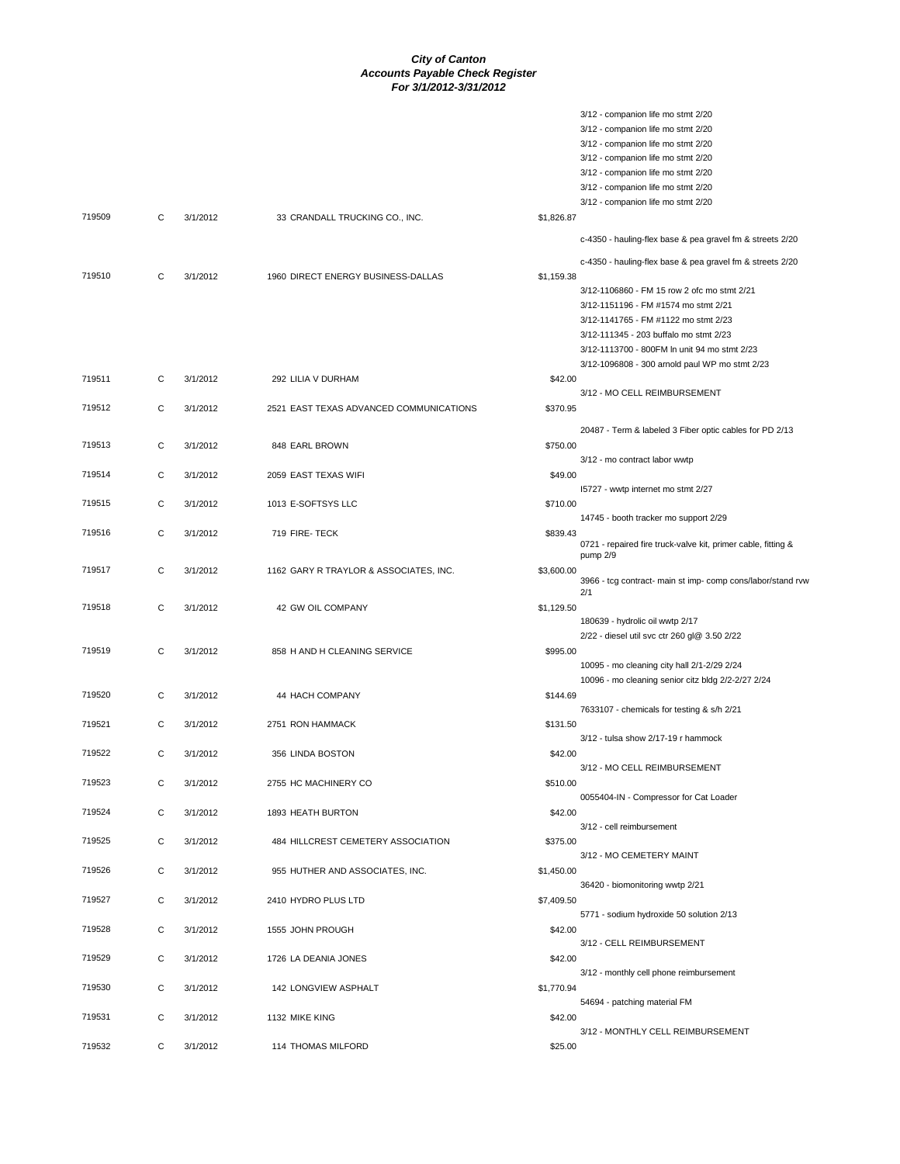|        |   |          |                                         |            | 3/12 - companion life mo stmt 2/20                            |
|--------|---|----------|-----------------------------------------|------------|---------------------------------------------------------------|
|        |   |          |                                         |            | 3/12 - companion life mo stmt 2/20                            |
|        |   |          |                                         |            | 3/12 - companion life mo stmt 2/20                            |
|        |   |          |                                         |            | 3/12 - companion life mo stmt 2/20                            |
|        |   |          |                                         |            | 3/12 - companion life mo stmt 2/20                            |
|        |   |          |                                         |            | 3/12 - companion life mo stmt 2/20                            |
|        |   |          |                                         |            | 3/12 - companion life mo stmt 2/20                            |
| 719509 | C | 3/1/2012 | 33 CRANDALL TRUCKING CO., INC.          | \$1,826.87 |                                                               |
|        |   |          |                                         |            | c-4350 - hauling-flex base & pea gravel fm & streets 2/20     |
|        |   |          |                                         |            | c-4350 - hauling-flex base & pea gravel fm & streets 2/20     |
| 719510 | С | 3/1/2012 | 1960 DIRECT ENERGY BUSINESS-DALLAS      | \$1,159.38 |                                                               |
|        |   |          |                                         |            | 3/12-1106860 - FM 15 row 2 ofc mo stmt 2/21                   |
|        |   |          |                                         |            | 3/12-1151196 - FM #1574 mo stmt 2/21                          |
|        |   |          |                                         |            | 3/12-1141765 - FM #1122 mo stmt 2/23                          |
|        |   |          |                                         |            | 3/12-111345 - 203 buffalo mo stmt 2/23                        |
|        |   |          |                                         |            | 3/12-1113700 - 800FM In unit 94 mo stmt 2/23                  |
|        |   |          |                                         |            | 3/12-1096808 - 300 arnold paul WP mo stmt 2/23                |
| 719511 | C | 3/1/2012 | 292 LILIA V DURHAM                      | \$42.00    |                                                               |
|        |   |          |                                         |            | 3/12 - MO CELL REIMBURSEMENT                                  |
| 719512 | C | 3/1/2012 | 2521 EAST TEXAS ADVANCED COMMUNICATIONS | \$370.95   |                                                               |
|        |   |          |                                         |            | 20487 - Term & labeled 3 Fiber optic cables for PD 2/13       |
| 719513 | C | 3/1/2012 | 848 EARL BROWN                          | \$750.00   |                                                               |
|        |   |          |                                         |            | 3/12 - mo contract labor wwtp                                 |
| 719514 | C | 3/1/2012 | 2059 EAST TEXAS WIFI                    | \$49.00    |                                                               |
|        |   |          |                                         |            | 15727 - wwtp internet mo stmt 2/27                            |
| 719515 | С | 3/1/2012 | 1013 E-SOFTSYS LLC                      | \$710.00   |                                                               |
|        |   |          |                                         |            | 14745 - booth tracker mo support 2/29                         |
| 719516 | C | 3/1/2012 | 719 FIRE- TECK                          | \$839.43   |                                                               |
|        |   |          |                                         |            | 0721 - repaired fire truck-valve kit, primer cable, fitting & |
|        |   |          |                                         |            | pump 2/9                                                      |
| 719517 | C | 3/1/2012 | 1162 GARY R TRAYLOR & ASSOCIATES, INC.  | \$3,600.00 | 3966 - tcg contract- main st imp- comp cons/labor/stand rvw   |
|        |   |          |                                         |            | 2/1                                                           |
| 719518 | C | 3/1/2012 | 42 GW OIL COMPANY                       | \$1,129.50 |                                                               |
|        |   |          |                                         |            | 180639 - hydrolic oil wwtp 2/17                               |
|        |   |          |                                         |            | 2/22 - diesel util svc ctr 260 gl@ 3.50 2/22                  |
| 719519 | C | 3/1/2012 | 858 H AND H CLEANING SERVICE            | \$995.00   |                                                               |
|        |   |          |                                         |            | 10095 - mo cleaning city hall 2/1-2/29 2/24                   |
|        |   |          |                                         |            | 10096 - mo cleaning senior citz bldg 2/2-2/27 2/24            |
| 719520 | С | 3/1/2012 | 44 HACH COMPANY                         | \$144.69   |                                                               |
|        |   |          |                                         |            | 7633107 - chemicals for testing & s/h 2/21                    |
| 719521 | С | 3/1/2012 | 2751 RON HAMMACK                        | \$131.50   |                                                               |
|        |   |          |                                         |            | 3/12 - tulsa show 2/17-19 r hammock                           |
| 719522 | C | 3/1/2012 | 356 LINDA BOSTON                        | \$42.00    |                                                               |
|        |   |          |                                         |            | 3/12 - MO CELL REIMBURSEMENT                                  |
| 719523 | С | 3/1/2012 | 2755 HC MACHINERY CO                    | \$510.00   |                                                               |
|        |   |          |                                         |            | 0055404-IN - Compressor for Cat Loader                        |
| 719524 | С | 3/1/2012 | 1893 HEATH BURTON                       | \$42.00    |                                                               |
|        |   |          |                                         |            | 3/12 - cell reimbursement                                     |
| 719525 | C | 3/1/2012 | 484 HILLCREST CEMETERY ASSOCIATION      | \$375.00   |                                                               |
|        |   |          |                                         |            | 3/12 - MO CEMETERY MAINT                                      |
| 719526 | С | 3/1/2012 | 955 HUTHER AND ASSOCIATES, INC.         | \$1,450.00 |                                                               |
|        |   |          |                                         |            | 36420 - biomonitoring wwtp 2/21                               |
| 719527 | С | 3/1/2012 | 2410 HYDRO PLUS LTD                     | \$7,409.50 |                                                               |
|        |   |          |                                         |            | 5771 - sodium hydroxide 50 solution 2/13                      |
| 719528 | C | 3/1/2012 | 1555 JOHN PROUGH                        | \$42.00    |                                                               |
|        |   |          |                                         |            | 3/12 - CELL REIMBURSEMENT                                     |
| 719529 | С | 3/1/2012 | 1726 LA DEANIA JONES                    | \$42.00    |                                                               |
|        |   |          |                                         |            | 3/12 - monthly cell phone reimbursement                       |
| 719530 | С | 3/1/2012 | 142 LONGVIEW ASPHALT                    | \$1,770.94 |                                                               |
|        |   |          |                                         |            | 54694 - patching material FM                                  |
| 719531 | C | 3/1/2012 | 1132 MIKE KING                          | \$42.00    |                                                               |
|        |   |          |                                         |            | 3/12 - MONTHLY CELL REIMBURSEMENT                             |
| 719532 | C | 3/1/2012 | 114 THOMAS MILFORD                      | \$25.00    |                                                               |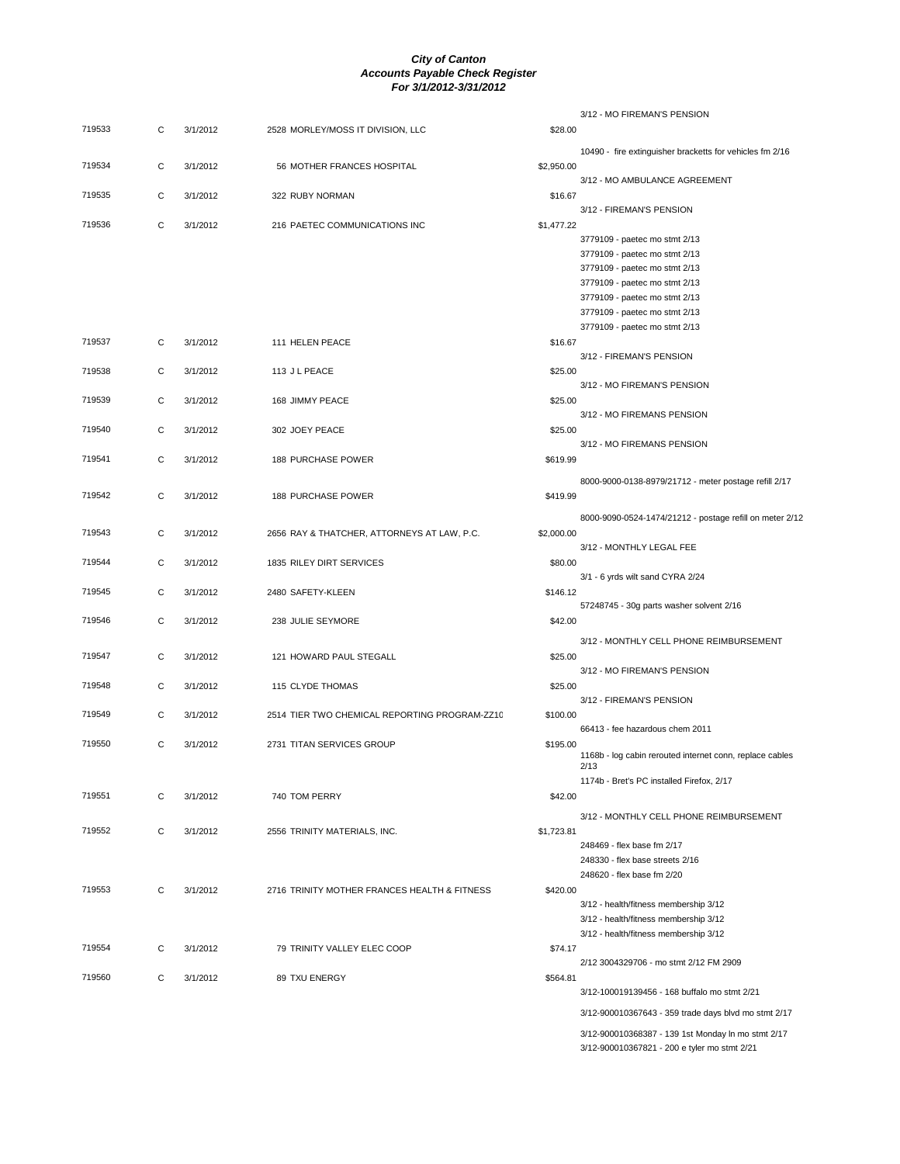|        |             |          |                                               |            | 3/12 - MO FIREMAN'S PENSION                                      |
|--------|-------------|----------|-----------------------------------------------|------------|------------------------------------------------------------------|
| 719533 | C           | 3/1/2012 | 2528 MORLEY/MOSS IT DIVISION, LLC             | \$28.00    |                                                                  |
|        |             |          |                                               |            | 10490 - fire extinguisher bracketts for vehicles fm 2/16         |
| 719534 | C           | 3/1/2012 | 56 MOTHER FRANCES HOSPITAL                    | \$2,950.00 |                                                                  |
|        |             |          |                                               |            | 3/12 - MO AMBULANCE AGREEMENT                                    |
| 719535 | C           | 3/1/2012 | 322 RUBY NORMAN                               | \$16.67    |                                                                  |
|        |             |          |                                               |            | 3/12 - FIREMAN'S PENSION                                         |
| 719536 | $\mathbf C$ | 3/1/2012 | 216 PAETEC COMMUNICATIONS INC                 | \$1,477.22 |                                                                  |
|        |             |          |                                               |            | 3779109 - paetec mo stmt 2/13                                    |
|        |             |          |                                               |            | 3779109 - paetec mo stmt 2/13                                    |
|        |             |          |                                               |            | 3779109 - paetec mo stmt 2/13                                    |
|        |             |          |                                               |            | 3779109 - paetec mo stmt 2/13                                    |
|        |             |          |                                               |            | 3779109 - paetec mo stmt 2/13                                    |
|        |             |          |                                               |            | 3779109 - paetec mo stmt 2/13                                    |
|        |             |          |                                               |            | 3779109 - paetec mo stmt 2/13                                    |
| 719537 | C           | 3/1/2012 | 111 HELEN PEACE                               | \$16.67    |                                                                  |
|        |             |          |                                               |            | 3/12 - FIREMAN'S PENSION                                         |
| 719538 | С           | 3/1/2012 | 113 J L PEACE                                 | \$25.00    |                                                                  |
| 719539 |             |          |                                               |            | 3/12 - MO FIREMAN'S PENSION                                      |
|        | C           | 3/1/2012 | 168 JIMMY PEACE                               | \$25.00    | 3/12 - MO FIREMANS PENSION                                       |
| 719540 | $\mathbf C$ | 3/1/2012 | 302 JOEY PEACE                                | \$25.00    |                                                                  |
|        |             |          |                                               |            | 3/12 - MO FIREMANS PENSION                                       |
| 719541 | C           | 3/1/2012 | <b>188 PURCHASE POWER</b>                     | \$619.99   |                                                                  |
|        |             |          |                                               |            |                                                                  |
|        |             |          |                                               |            | 8000-9000-0138-8979/21712 - meter postage refill 2/17            |
| 719542 | $\mathbf C$ | 3/1/2012 | <b>188 PURCHASE POWER</b>                     | \$419.99   |                                                                  |
|        |             |          |                                               |            | 8000-9090-0524-1474/21212 - postage refill on meter 2/12         |
| 719543 | C           | 3/1/2012 | 2656 RAY & THATCHER, ATTORNEYS AT LAW, P.C.   | \$2,000.00 |                                                                  |
|        |             |          |                                               |            | 3/12 - MONTHLY LEGAL FEE                                         |
| 719544 | C           | 3/1/2012 | 1835 RILEY DIRT SERVICES                      | \$80.00    |                                                                  |
|        |             |          |                                               |            | 3/1 - 6 yrds wilt sand CYRA 2/24                                 |
| 719545 | С           | 3/1/2012 | 2480 SAFETY-KLEEN                             | \$146.12   |                                                                  |
|        |             |          |                                               |            | 57248745 - 30g parts washer solvent 2/16                         |
| 719546 | C           | 3/1/2012 | 238 JULIE SEYMORE                             | \$42.00    |                                                                  |
|        |             |          |                                               |            | 3/12 - MONTHLY CELL PHONE REIMBURSEMENT                          |
| 719547 | C           | 3/1/2012 | 121 HOWARD PAUL STEGALL                       | \$25.00    |                                                                  |
|        |             |          |                                               |            | 3/12 - MO FIREMAN'S PENSION                                      |
| 719548 | C           | 3/1/2012 | 115 CLYDE THOMAS                              | \$25.00    |                                                                  |
|        |             |          |                                               |            | 3/12 - FIREMAN'S PENSION                                         |
| 719549 | С           | 3/1/2012 | 2514 TIER TWO CHEMICAL REPORTING PROGRAM-ZZ10 | \$100.00   |                                                                  |
|        |             |          |                                               |            | 66413 - fee hazardous chem 2011                                  |
| 719550 | C           | 3/1/2012 | 2731 TITAN SERVICES GROUP                     | \$195.00   |                                                                  |
|        |             |          |                                               |            | 1168b - log cabin rerouted internet conn, replace cables<br>2/13 |
|        |             |          |                                               |            | 1174b - Bret's PC installed Firefox, 2/17                        |
| 719551 | C           | 3/1/2012 | 740 TOM PERRY                                 | \$42.00    |                                                                  |
|        |             |          |                                               |            |                                                                  |
|        |             |          |                                               |            | 3/12 - MONTHLY CELL PHONE REIMBURSEMENT                          |
| 719552 | C           | 3/1/2012 | 2556 TRINITY MATERIALS, INC.                  | \$1,723.81 |                                                                  |
|        |             |          |                                               |            | 248469 - flex base fm 2/17<br>248330 - flex base streets 2/16    |
|        |             |          |                                               |            | 248620 - flex base fm 2/20                                       |
| 719553 | С           | 3/1/2012 | 2716 TRINITY MOTHER FRANCES HEALTH & FITNESS  | \$420.00   |                                                                  |
|        |             |          |                                               |            | 3/12 - health/fitness membership 3/12                            |
|        |             |          |                                               |            | 3/12 - health/fitness membership 3/12                            |
|        |             |          |                                               |            | 3/12 - health/fitness membership 3/12                            |
| 719554 | C           | 3/1/2012 | 79 TRINITY VALLEY ELEC COOP                   | \$74.17    |                                                                  |
|        |             |          |                                               |            | 2/12 3004329706 - mo stmt 2/12 FM 2909                           |
| 719560 | С           | 3/1/2012 | 89 TXU ENERGY                                 | \$564.81   |                                                                  |
|        |             |          |                                               |            | 3/12-100019139456 - 168 buffalo mo stmt 2/21                     |
|        |             |          |                                               |            | 3/12-900010367643 - 359 trade days blvd mo stmt 2/17             |
|        |             |          |                                               |            |                                                                  |
|        |             |          |                                               |            | 3/12-900010368387 - 139 1st Monday In mo stmt 2/17               |
|        |             |          |                                               |            | 3/12-900010367821 - 200 e tyler mo stmt 2/21                     |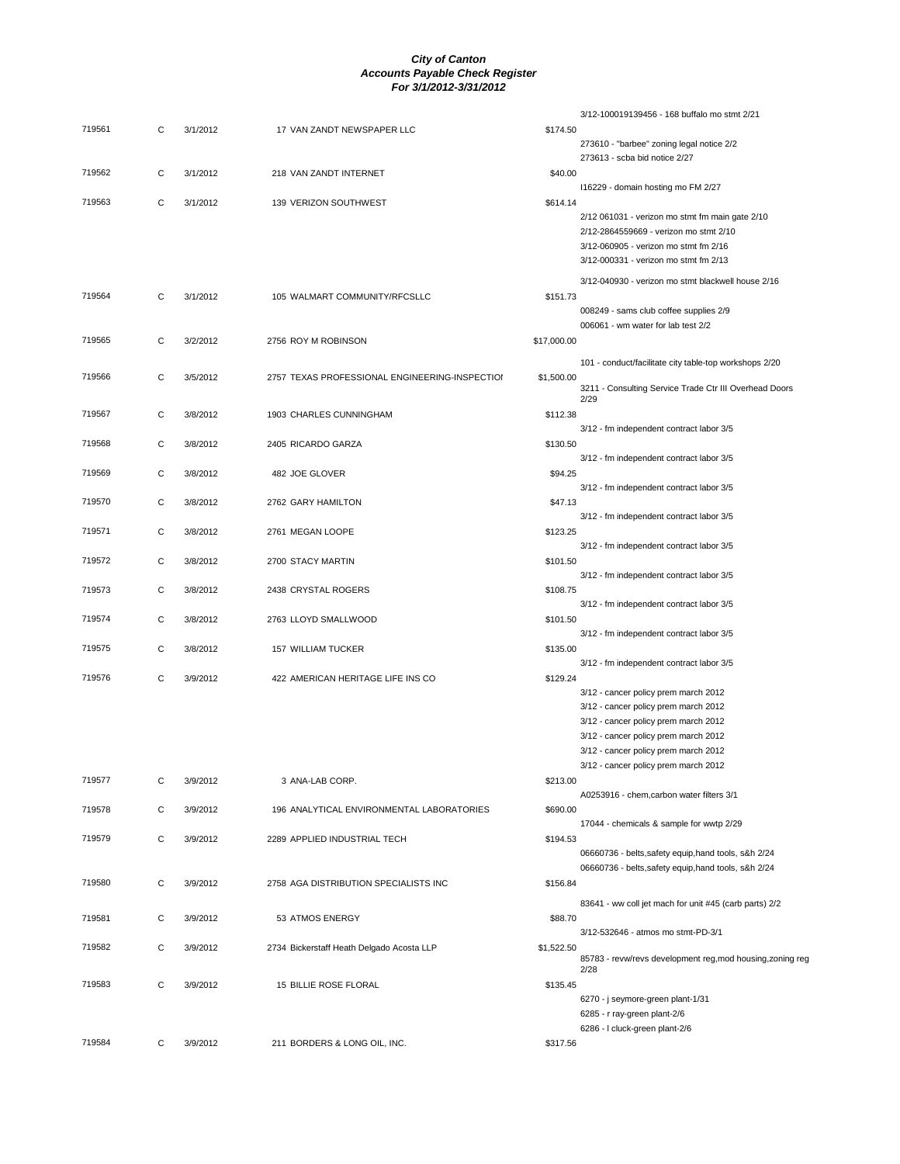|        |   |          |                                                |             | 3/12-100019139456 - 168 buffalo mo stmt 2/21                                 |
|--------|---|----------|------------------------------------------------|-------------|------------------------------------------------------------------------------|
| 719561 | C | 3/1/2012 | 17 VAN ZANDT NEWSPAPER LLC                     | \$174.50    |                                                                              |
|        |   |          |                                                |             | 273610 - "barbee" zoning legal notice 2/2<br>273613 - scba bid notice 2/27   |
| 719562 | С | 3/1/2012 | 218 VAN ZANDT INTERNET                         | \$40.00     |                                                                              |
|        |   |          |                                                |             | 116229 - domain hosting mo FM 2/27                                           |
| 719563 | C | 3/1/2012 | 139 VERIZON SOUTHWEST                          | \$614.14    |                                                                              |
|        |   |          |                                                |             | 2/12 061031 - verizon mo stmt fm main gate 2/10                              |
|        |   |          |                                                |             | 2/12-2864559669 - verizon mo stmt 2/10                                       |
|        |   |          |                                                |             | 3/12-060905 - verizon mo stmt fm 2/16                                        |
|        |   |          |                                                |             | 3/12-000331 - verizon mo stmt fm 2/13                                        |
|        |   |          |                                                |             | 3/12-040930 - verizon mo stmt blackwell house 2/16                           |
| 719564 | C | 3/1/2012 | 105 WALMART COMMUNITY/RFCSLLC                  | \$151.73    |                                                                              |
|        |   |          |                                                |             | 008249 - sams club coffee supplies 2/9<br>006061 - wm water for lab test 2/2 |
| 719565 | С | 3/2/2012 | 2756 ROY M ROBINSON                            | \$17,000.00 |                                                                              |
|        |   |          |                                                |             |                                                                              |
|        |   |          |                                                |             | 101 - conduct/facilitate city table-top workshops 2/20                       |
| 719566 | С | 3/5/2012 | 2757 TEXAS PROFESSIONAL ENGINEERING-INSPECTION | \$1,500.00  | 3211 - Consulting Service Trade Ctr III Overhead Doors                       |
|        |   |          |                                                |             | 2/29                                                                         |
| 719567 | С | 3/8/2012 | 1903 CHARLES CUNNINGHAM                        | \$112.38    |                                                                              |
|        |   |          |                                                |             | 3/12 - fm independent contract labor 3/5                                     |
| 719568 | С | 3/8/2012 | 2405 RICARDO GARZA                             | \$130.50    | 3/12 - fm independent contract labor 3/5                                     |
| 719569 | С | 3/8/2012 | 482 JOE GLOVER                                 | \$94.25     |                                                                              |
|        |   |          |                                                |             | 3/12 - fm independent contract labor 3/5                                     |
| 719570 | C | 3/8/2012 | 2762 GARY HAMILTON                             | \$47.13     |                                                                              |
|        |   |          |                                                |             | 3/12 - fm independent contract labor 3/5                                     |
| 719571 | С | 3/8/2012 | 2761 MEGAN LOOPE                               | \$123.25    |                                                                              |
| 719572 |   | 3/8/2012 | 2700 STACY MARTIN                              | \$101.50    | 3/12 - fm independent contract labor 3/5                                     |
|        | С |          |                                                |             | 3/12 - fm independent contract labor 3/5                                     |
| 719573 | С | 3/8/2012 | 2438 CRYSTAL ROGERS                            | \$108.75    |                                                                              |
|        |   |          |                                                |             | 3/12 - fm independent contract labor 3/5                                     |
| 719574 | C | 3/8/2012 | 2763 LLOYD SMALLWOOD                           | \$101.50    |                                                                              |
|        |   |          |                                                |             | 3/12 - fm independent contract labor 3/5                                     |
| 719575 | С | 3/8/2012 | <b>157 WILLIAM TUCKER</b>                      | \$135.00    | 3/12 - fm independent contract labor 3/5                                     |
| 719576 | C | 3/9/2012 | 422 AMERICAN HERITAGE LIFE INS CO              | \$129.24    |                                                                              |
|        |   |          |                                                |             | 3/12 - cancer policy prem march 2012                                         |
|        |   |          |                                                |             | 3/12 - cancer policy prem march 2012                                         |
|        |   |          |                                                |             | 3/12 - cancer policy prem march 2012                                         |
|        |   |          |                                                |             | 3/12 - cancer policy prem march 2012                                         |
|        |   |          |                                                |             | 3/12 - cancer policy prem march 2012                                         |
|        |   |          |                                                |             | 3/12 - cancer policy prem march 2012                                         |
| 719577 | С | 3/9/2012 | 3 ANA-LAB CORP.                                | \$213.00    |                                                                              |
|        |   |          |                                                |             | A0253916 - chem, carbon water filters 3/1                                    |
| 719578 | С | 3/9/2012 | 196 ANALYTICAL ENVIRONMENTAL LABORATORIES      | \$690.00    |                                                                              |
|        |   |          |                                                |             | 17044 - chemicals & sample for wwtp 2/29                                     |
| 719579 | С | 3/9/2012 | 2289 APPLIED INDUSTRIAL TECH                   | \$194.53    | 06660736 - belts, safety equip, hand tools, s&h 2/24                         |
|        |   |          |                                                |             | 06660736 - belts, safety equip, hand tools, s&h 2/24                         |
| 719580 | С | 3/9/2012 | 2758 AGA DISTRIBUTION SPECIALISTS INC          | \$156.84    |                                                                              |
|        |   |          |                                                |             | 83641 - ww coll jet mach for unit #45 (carb parts) 2/2                       |
| 719581 | С | 3/9/2012 | 53 ATMOS ENERGY                                | \$88.70     |                                                                              |
|        |   |          |                                                |             | 3/12-532646 - atmos mo stmt-PD-3/1                                           |
| 719582 | С | 3/9/2012 | 2734 Bickerstaff Heath Delgado Acosta LLP      | \$1,522.50  |                                                                              |
|        |   |          |                                                |             | 85783 - revw/revs development reg, mod housing, zoning reg<br>2/28           |
| 719583 | С | 3/9/2012 | 15 BILLIE ROSE FLORAL                          | \$135.45    |                                                                              |
|        |   |          |                                                |             | 6270 - j seymore-green plant-1/31                                            |
|        |   |          |                                                |             | 6285 - r ray-green plant-2/6                                                 |
|        |   |          |                                                |             | 6286 - I cluck-green plant-2/6                                               |
| 719584 | С | 3/9/2012 | 211 BORDERS & LONG OIL, INC.                   | \$317.56    |                                                                              |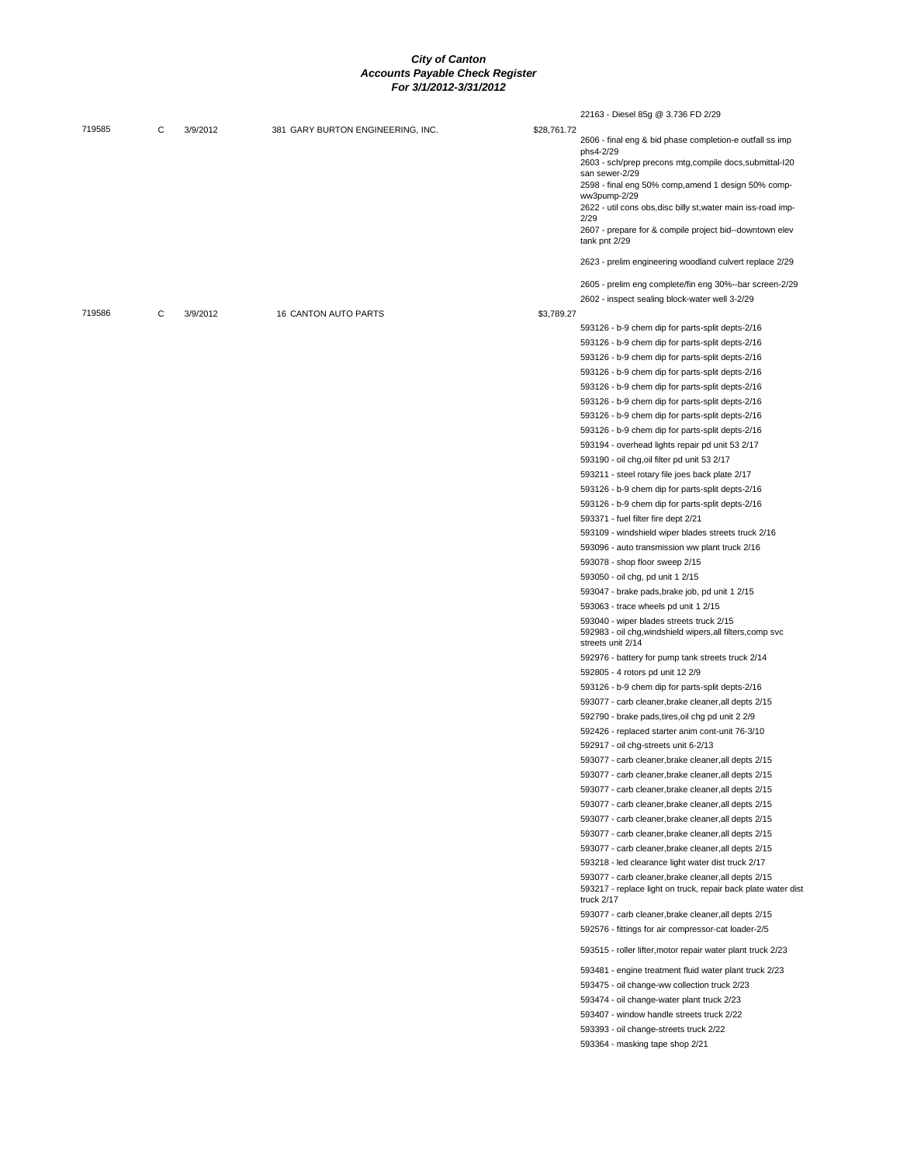|        |   |          |                                   |             | 22163 - Diesel 85g @ 3.736 FD 2/29                                                                                                  |
|--------|---|----------|-----------------------------------|-------------|-------------------------------------------------------------------------------------------------------------------------------------|
| 719585 | C | 3/9/2012 | 381 GARY BURTON ENGINEERING, INC. | \$28,761.72 |                                                                                                                                     |
|        |   |          |                                   |             | 2606 - final eng & bid phase completion-e outfall ss imp                                                                            |
|        |   |          |                                   |             | phs4-2/29<br>2603 - sch/prep precons mtg, compile docs, submittal-I20                                                               |
|        |   |          |                                   |             | san sewer-2/29                                                                                                                      |
|        |   |          |                                   |             | 2598 - final eng 50% comp, amend 1 design 50% comp-                                                                                 |
|        |   |          |                                   |             | ww3pump-2/29<br>2622 - util cons obs, disc billy st, water main iss-road imp-                                                       |
|        |   |          |                                   |             | 2/29                                                                                                                                |
|        |   |          |                                   |             | 2607 - prepare for & compile project bid--downtown elev<br>tank pnt 2/29                                                            |
|        |   |          |                                   |             | 2623 - prelim engineering woodland culvert replace 2/29                                                                             |
|        |   |          |                                   |             | 2605 - prelim eng complete/fin eng 30%--bar screen-2/29                                                                             |
|        |   |          |                                   |             | 2602 - inspect sealing block-water well 3-2/29                                                                                      |
| 719586 | С | 3/9/2012 | <b>16 CANTON AUTO PARTS</b>       | \$3,789.27  |                                                                                                                                     |
|        |   |          |                                   |             | 593126 - b-9 chem dip for parts-split depts-2/16                                                                                    |
|        |   |          |                                   |             | 593126 - b-9 chem dip for parts-split depts-2/16                                                                                    |
|        |   |          |                                   |             | 593126 - b-9 chem dip for parts-split depts-2/16                                                                                    |
|        |   |          |                                   |             | 593126 - b-9 chem dip for parts-split depts-2/16                                                                                    |
|        |   |          |                                   |             | 593126 - b-9 chem dip for parts-split depts-2/16                                                                                    |
|        |   |          |                                   |             | 593126 - b-9 chem dip for parts-split depts-2/16                                                                                    |
|        |   |          |                                   |             | 593126 - b-9 chem dip for parts-split depts-2/16                                                                                    |
|        |   |          |                                   |             | 593126 - b-9 chem dip for parts-split depts-2/16                                                                                    |
|        |   |          |                                   |             | 593194 - overhead lights repair pd unit 53 2/17                                                                                     |
|        |   |          |                                   |             | 593190 - oil chg, oil filter pd unit 53 2/17                                                                                        |
|        |   |          |                                   |             | 593211 - steel rotary file joes back plate 2/17                                                                                     |
|        |   |          |                                   |             | 593126 - b-9 chem dip for parts-split depts-2/16                                                                                    |
|        |   |          |                                   |             | 593126 - b-9 chem dip for parts-split depts-2/16                                                                                    |
|        |   |          |                                   |             | 593371 - fuel filter fire dept 2/21                                                                                                 |
|        |   |          |                                   |             | 593109 - windshield wiper blades streets truck 2/16                                                                                 |
|        |   |          |                                   |             | 593096 - auto transmission ww plant truck 2/16                                                                                      |
|        |   |          |                                   |             | 593078 - shop floor sweep 2/15                                                                                                      |
|        |   |          |                                   |             | 593050 - oil chg, pd unit 1 2/15                                                                                                    |
|        |   |          |                                   |             | 593047 - brake pads, brake job, pd unit 1 2/15                                                                                      |
|        |   |          |                                   |             | 593063 - trace wheels pd unit 1 2/15                                                                                                |
|        |   |          |                                   |             | 593040 - wiper blades streets truck 2/15<br>592983 - oil chg, windshield wipers, all filters, comp svc<br>streets unit 2/14         |
|        |   |          |                                   |             | 592976 - battery for pump tank streets truck 2/14                                                                                   |
|        |   |          |                                   |             | 592805 - 4 rotors pd unit 12 2/9                                                                                                    |
|        |   |          |                                   |             | 593126 - b-9 chem dip for parts-split depts-2/16                                                                                    |
|        |   |          |                                   |             | 593077 - carb cleaner, brake cleaner, all depts 2/15                                                                                |
|        |   |          |                                   |             | 592790 - brake pads, tires, oil chg pd unit 2 2/9                                                                                   |
|        |   |          |                                   |             | 592426 - replaced starter anim cont-unit 76-3/10                                                                                    |
|        |   |          |                                   |             | 592917 - oil chg-streets unit 6-2/13                                                                                                |
|        |   |          |                                   |             | 593077 - carb cleaner, brake cleaner, all depts 2/15                                                                                |
|        |   |          |                                   |             | 593077 - carb cleaner, brake cleaner, all depts 2/15                                                                                |
|        |   |          |                                   |             | 593077 - carb cleaner, brake cleaner, all depts 2/15                                                                                |
|        |   |          |                                   |             | 593077 - carb cleaner, brake cleaner, all depts 2/15                                                                                |
|        |   |          |                                   |             | 593077 - carb cleaner, brake cleaner, all depts 2/15                                                                                |
|        |   |          |                                   |             | 593077 - carb cleaner, brake cleaner, all depts 2/15                                                                                |
|        |   |          |                                   |             | 593077 - carb cleaner, brake cleaner, all depts 2/15                                                                                |
|        |   |          |                                   |             | 593218 - led clearance light water dist truck 2/17                                                                                  |
|        |   |          |                                   |             | 593077 - carb cleaner, brake cleaner, all depts 2/15<br>593217 - replace light on truck, repair back plate water dist<br>truck 2/17 |
|        |   |          |                                   |             | 593077 - carb cleaner, brake cleaner, all depts 2/15<br>592576 - fittings for air compressor-cat loader-2/5                         |
|        |   |          |                                   |             | 593515 - roller lifter, motor repair water plant truck 2/23                                                                         |
|        |   |          |                                   |             | 593481 - engine treatment fluid water plant truck 2/23                                                                              |
|        |   |          |                                   |             | 593475 - oil change-ww collection truck 2/23                                                                                        |
|        |   |          |                                   |             | 593474 - oil change-water plant truck 2/23                                                                                          |
|        |   |          |                                   |             | 593407 - window handle streets truck 2/22                                                                                           |
|        |   |          |                                   |             | 593393 - oil change-streets truck 2/22                                                                                              |
|        |   |          |                                   |             | 593364 - masking tape shop 2/21                                                                                                     |
|        |   |          |                                   |             |                                                                                                                                     |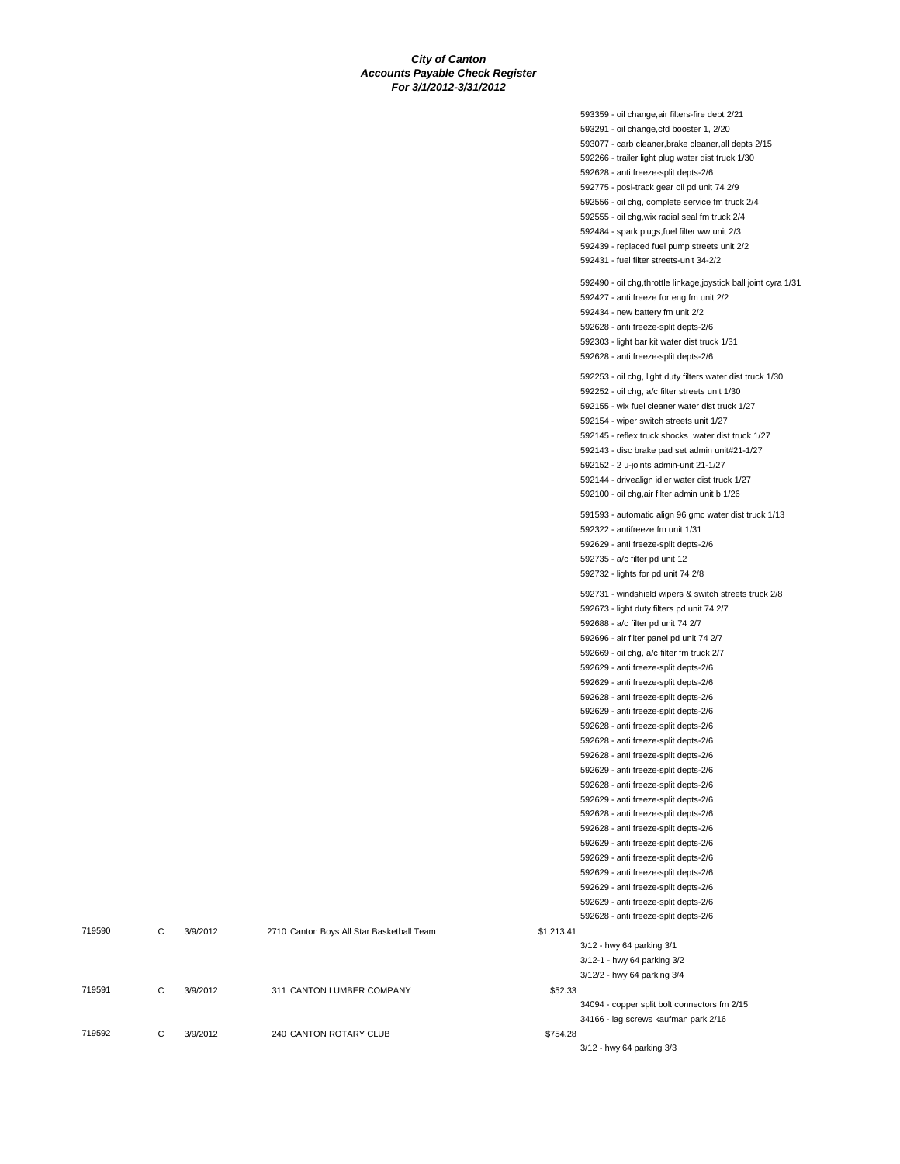|        |   |          |                                           |            | 593359 - oil change, air filters-fire dept 2/21                                           |
|--------|---|----------|-------------------------------------------|------------|-------------------------------------------------------------------------------------------|
|        |   |          |                                           |            | 593291 - oil change, cfd booster 1, 2/20                                                  |
|        |   |          |                                           |            | 593077 - carb cleaner, brake cleaner, all depts 2/15                                      |
|        |   |          |                                           |            | 592266 - trailer light plug water dist truck 1/30                                         |
|        |   |          |                                           |            | 592628 - anti freeze-split depts-2/6                                                      |
|        |   |          |                                           |            | 592775 - posi-track gear oil pd unit 74 2/9                                               |
|        |   |          |                                           |            | 592556 - oil chg, complete service fm truck 2/4                                           |
|        |   |          |                                           |            | 592555 - oil chg, wix radial seal fm truck 2/4                                            |
|        |   |          |                                           |            | 592484 - spark plugs, fuel filter ww unit 2/3                                             |
|        |   |          |                                           |            | 592439 - replaced fuel pump streets unit 2/2                                              |
|        |   |          |                                           |            | 592431 - fuel filter streets-unit 34-2/2                                                  |
|        |   |          |                                           |            | 592490 - oil chg, throttle linkage, joystick ball joint cyra 1/31                         |
|        |   |          |                                           |            | 592427 - anti freeze for eng fm unit 2/2                                                  |
|        |   |          |                                           |            | 592434 - new battery fm unit 2/2                                                          |
|        |   |          |                                           |            | 592628 - anti freeze-split depts-2/6                                                      |
|        |   |          |                                           |            | 592303 - light bar kit water dist truck 1/31                                              |
|        |   |          |                                           |            | 592628 - anti freeze-split depts-2/6                                                      |
|        |   |          |                                           |            | 592253 - oil chg, light duty filters water dist truck 1/30                                |
|        |   |          |                                           |            | 592252 - oil chg, a/c filter streets unit 1/30                                            |
|        |   |          |                                           |            | 592155 - wix fuel cleaner water dist truck 1/27                                           |
|        |   |          |                                           |            | 592154 - wiper switch streets unit 1/27                                                   |
|        |   |          |                                           |            | 592145 - reflex truck shocks water dist truck 1/27                                        |
|        |   |          |                                           |            | 592143 - disc brake pad set admin unit#21-1/27                                            |
|        |   |          |                                           |            | 592152 - 2 u-joints admin-unit 21-1/27                                                    |
|        |   |          |                                           |            | 592144 - drivealign idler water dist truck 1/27                                           |
|        |   |          |                                           |            | 592100 - oil chg, air filter admin unit b 1/26                                            |
|        |   |          |                                           |            |                                                                                           |
|        |   |          |                                           |            | 591593 - automatic align 96 gmc water dist truck 1/13<br>592322 - antifreeze fm unit 1/31 |
|        |   |          |                                           |            | 592629 - anti freeze-split depts-2/6                                                      |
|        |   |          |                                           |            | 592735 - a/c filter pd unit 12                                                            |
|        |   |          |                                           |            | 592732 - lights for pd unit 74 2/8                                                        |
|        |   |          |                                           |            |                                                                                           |
|        |   |          |                                           |            | 592731 - windshield wipers & switch streets truck 2/8                                     |
|        |   |          |                                           |            | 592673 - light duty filters pd unit 74 2/7                                                |
|        |   |          |                                           |            | 592688 - a/c filter pd unit 74 2/7                                                        |
|        |   |          |                                           |            | 592696 - air filter panel pd unit 74 2/7                                                  |
|        |   |          |                                           |            | 592669 - oil chg, a/c filter fm truck 2/7                                                 |
|        |   |          |                                           |            | 592629 - anti freeze-split depts-2/6                                                      |
|        |   |          |                                           |            | 592629 - anti freeze-split depts-2/6                                                      |
|        |   |          |                                           |            | 592628 - anti freeze-split depts-2/6                                                      |
|        |   |          |                                           |            | 592629 - anti freeze-split depts-2/6                                                      |
|        |   |          |                                           |            | 592628 - anti freeze-split depts-2/6<br>592628 - anti freeze-split depts-2/6              |
|        |   |          |                                           |            | 592628 - anti freeze-split depts-2/6                                                      |
|        |   |          |                                           |            | 592629 - anti freeze-split depts-2/6                                                      |
|        |   |          |                                           |            | 592628 - anti freeze-split depts-2/6                                                      |
|        |   |          |                                           |            | 592629 - anti freeze-split depts-2/6                                                      |
|        |   |          |                                           |            | 592628 - anti freeze-split depts-2/6                                                      |
|        |   |          |                                           |            | 592628 - anti freeze-split depts-2/6                                                      |
|        |   |          |                                           |            | 592629 - anti freeze-split depts-2/6                                                      |
|        |   |          |                                           |            | 592629 - anti freeze-split depts-2/6                                                      |
|        |   |          |                                           |            | 592629 - anti freeze-split depts-2/6                                                      |
|        |   |          |                                           |            | 592629 - anti freeze-split depts-2/6                                                      |
|        |   |          |                                           |            | 592629 - anti freeze-split depts-2/6                                                      |
|        |   |          |                                           |            | 592628 - anti freeze-split depts-2/6                                                      |
| 719590 | С | 3/9/2012 | 2710 Canton Boys All Star Basketball Team | \$1,213.41 |                                                                                           |
|        |   |          |                                           |            | 3/12 - hwy 64 parking 3/1                                                                 |
|        |   |          |                                           |            | 3/12-1 - hwy 64 parking 3/2                                                               |
|        |   |          |                                           |            | 3/12/2 - hwy 64 parking 3/4                                                               |
| 719591 | C | 3/9/2012 | 311 CANTON LUMBER COMPANY                 | \$52.33    |                                                                                           |
|        |   |          |                                           |            | 34094 - copper split bolt connectors fm 2/15                                              |
|        |   |          |                                           |            | 34166 - lag screws kaufman park 2/16                                                      |
| 719592 | C | 3/9/2012 | 240 CANTON ROTARY CLUB                    | \$754.28   |                                                                                           |
|        |   |          |                                           |            | 3/12 - hwy 64 parking 3/3                                                                 |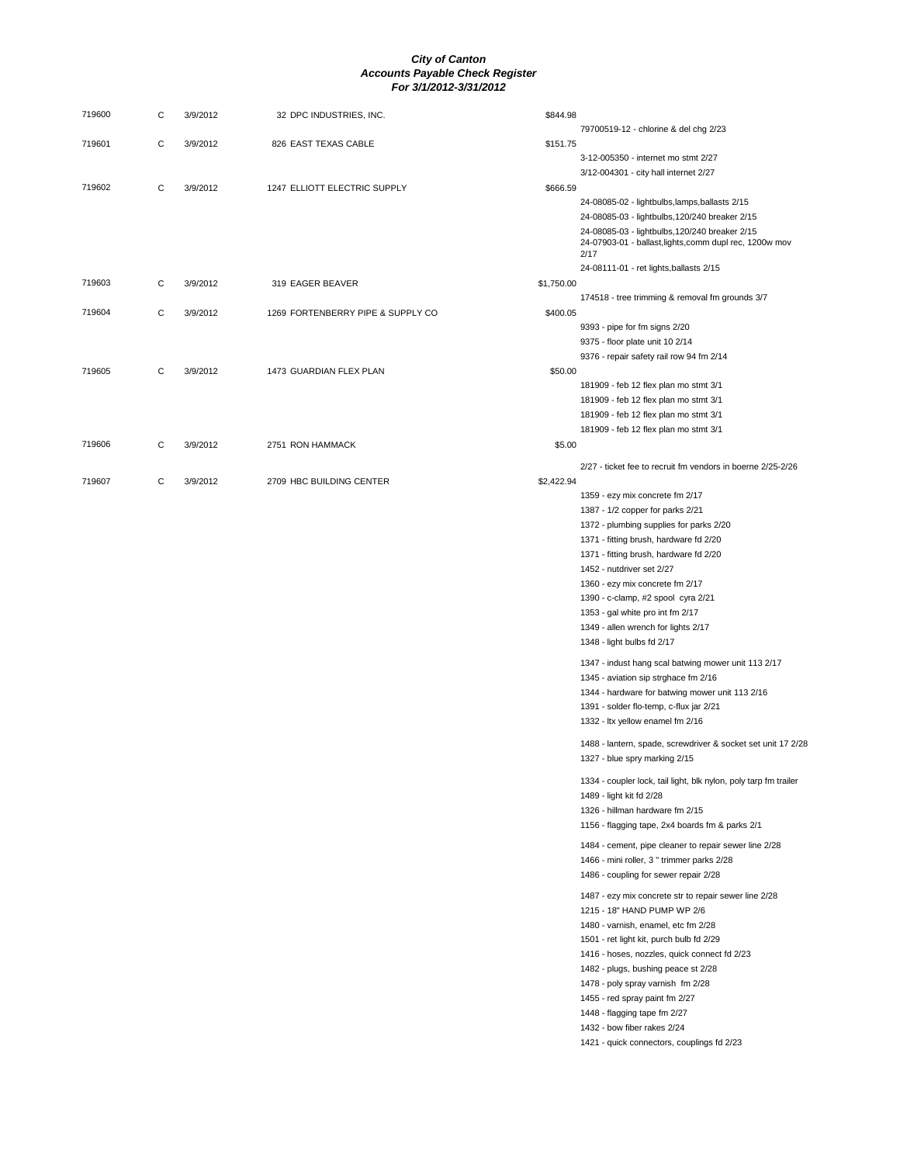| 719600 | С | 3/9/2012 | 32 DPC INDUSTRIES, INC.           | \$844.98   |                                                                                                           |
|--------|---|----------|-----------------------------------|------------|-----------------------------------------------------------------------------------------------------------|
|        |   |          |                                   |            | 79700519-12 - chlorine & del chg 2/23                                                                     |
| 719601 | С | 3/9/2012 | 826 EAST TEXAS CABLE              | \$151.75   |                                                                                                           |
|        |   |          |                                   |            | 3-12-005350 - internet mo stmt 2/27                                                                       |
|        |   |          |                                   |            | 3/12-004301 - city hall internet 2/27                                                                     |
| 719602 | С | 3/9/2012 | 1247 ELLIOTT ELECTRIC SUPPLY      | \$666.59   |                                                                                                           |
|        |   |          |                                   |            | 24-08085-02 - lightbulbs,lamps,ballasts 2/15                                                              |
|        |   |          |                                   |            | 24-08085-03 - lightbulbs, 120/240 breaker 2/15                                                            |
|        |   |          |                                   |            | 24-08085-03 - lightbulbs, 120/240 breaker 2/15<br>24-07903-01 - ballast, lights, comm dupl rec, 1200w mov |
|        |   |          |                                   |            | 2/17                                                                                                      |
|        |   |          |                                   |            | 24-08111-01 - ret lights, ballasts 2/15                                                                   |
| 719603 | С | 3/9/2012 | 319 EAGER BEAVER                  | \$1,750.00 |                                                                                                           |
|        |   |          |                                   |            | 174518 - tree trimming & removal fm grounds 3/7                                                           |
| 719604 | С | 3/9/2012 | 1269 FORTENBERRY PIPE & SUPPLY CO | \$400.05   |                                                                                                           |
|        |   |          |                                   |            | 9393 - pipe for fm signs 2/20                                                                             |
|        |   |          |                                   |            | 9375 - floor plate unit 10 2/14                                                                           |
|        |   |          |                                   |            | 9376 - repair safety rail row 94 fm 2/14                                                                  |
| 719605 | С | 3/9/2012 | 1473 GUARDIAN FLEX PLAN           | \$50.00    |                                                                                                           |
|        |   |          |                                   |            | 181909 - feb 12 flex plan mo stmt 3/1<br>181909 - feb 12 flex plan mo stmt 3/1                            |
|        |   |          |                                   |            | 181909 - feb 12 flex plan mo stmt 3/1                                                                     |
|        |   |          |                                   |            | 181909 - feb 12 flex plan mo stmt 3/1                                                                     |
| 719606 | С | 3/9/2012 | 2751 RON HAMMACK                  | \$5.00     |                                                                                                           |
|        |   |          |                                   |            |                                                                                                           |
|        |   |          |                                   |            | 2/27 - ticket fee to recruit fm vendors in boerne 2/25-2/26                                               |
| 719607 | С | 3/9/2012 | 2709 HBC BUILDING CENTER          | \$2,422.94 |                                                                                                           |
|        |   |          |                                   |            | 1359 - ezy mix concrete fm 2/17                                                                           |
|        |   |          |                                   |            | 1387 - 1/2 copper for parks 2/21<br>1372 - plumbing supplies for parks 2/20                               |
|        |   |          |                                   |            | 1371 - fitting brush, hardware fd 2/20                                                                    |
|        |   |          |                                   |            | 1371 - fitting brush, hardware fd 2/20                                                                    |
|        |   |          |                                   |            | 1452 - nutdriver set 2/27                                                                                 |
|        |   |          |                                   |            | 1360 - ezy mix concrete fm 2/17                                                                           |
|        |   |          |                                   |            | 1390 - c-clamp, #2 spool cyra 2/21                                                                        |
|        |   |          |                                   |            | 1353 - gal white pro int fm 2/17                                                                          |
|        |   |          |                                   |            | 1349 - allen wrench for lights 2/17                                                                       |
|        |   |          |                                   |            | 1348 - light bulbs fd 2/17                                                                                |
|        |   |          |                                   |            | 1347 - indust hang scal batwing mower unit 113 2/17                                                       |
|        |   |          |                                   |            | 1345 - aviation sip strghace fm 2/16                                                                      |
|        |   |          |                                   |            | 1344 - hardware for batwing mower unit 113 2/16                                                           |
|        |   |          |                                   |            | 1391 - solder flo-temp, c-flux jar 2/21                                                                   |
|        |   |          |                                   |            | 1332 - Itx yellow enamel fm 2/16                                                                          |
|        |   |          |                                   |            | 1488 - lantern, spade, screwdriver & socket set unit 17 2/28                                              |
|        |   |          |                                   |            | 1327 - blue spry marking 2/15                                                                             |
|        |   |          |                                   |            |                                                                                                           |
|        |   |          |                                   |            | 1334 - coupler lock, tail light, blk nylon, poly tarp fm trailer                                          |
|        |   |          |                                   |            | 1489 - light kit fd 2/28                                                                                  |
|        |   |          |                                   |            | 1326 - hillman hardware fm 2/15                                                                           |
|        |   |          |                                   |            | 1156 - flagging tape, 2x4 boards fm & parks 2/1                                                           |
|        |   |          |                                   |            | 1484 - cement, pipe cleaner to repair sewer line 2/28                                                     |
|        |   |          |                                   |            | 1466 - mini roller, 3 " trimmer parks 2/28                                                                |
|        |   |          |                                   |            | 1486 - coupling for sewer repair 2/28                                                                     |
|        |   |          |                                   |            | 1487 - ezy mix concrete str to repair sewer line 2/28                                                     |
|        |   |          |                                   |            | 1215 - 18" HAND PUMP WP 2/6                                                                               |
|        |   |          |                                   |            | 1480 - varnish, enamel, etc fm 2/28                                                                       |
|        |   |          |                                   |            | 1501 - ret light kit, purch bulb fd 2/29                                                                  |
|        |   |          |                                   |            | 1416 - hoses, nozzles, quick connect fd 2/23                                                              |
|        |   |          |                                   |            | 1482 - plugs, bushing peace st 2/28                                                                       |
|        |   |          |                                   |            | 1478 - poly spray varnish fm 2/28                                                                         |
|        |   |          |                                   |            | 1455 - red spray paint fm 2/27                                                                            |
|        |   |          |                                   |            | 1448 - flagging tape fm 2/27                                                                              |
|        |   |          |                                   |            | 1432 - bow fiber rakes 2/24                                                                               |
|        |   |          |                                   |            | 1421 - quick connectors, couplings fd 2/23                                                                |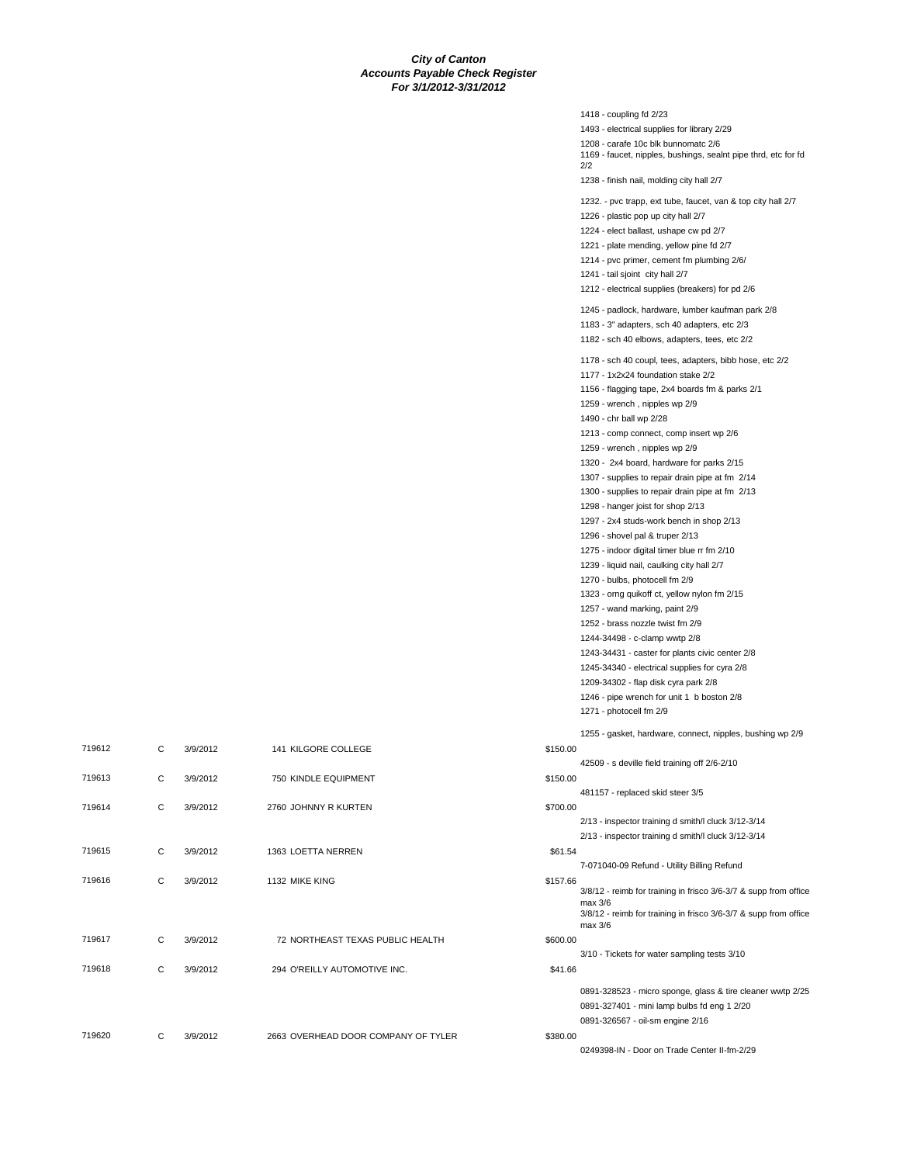|               | 1418 - coupling fd 2/23                                          |
|---------------|------------------------------------------------------------------|
|               | 1493 - electrical supplies for library 2/29                      |
|               | 1208 - carafe 10c blk bunnomatc 2/6                              |
|               | 1169 - faucet, nipples, bushings, sealnt pipe thrd, etc for fd   |
|               | 2/2<br>1238 - finish nail, molding city hall 2/7                 |
|               | 1232. - pvc trapp, ext tube, faucet, van & top city hall 2/7     |
|               | 1226 - plastic pop up city hall 2/7                              |
|               | 1224 - elect ballast, ushape cw pd 2/7                           |
|               | 1221 - plate mending, yellow pine fd 2/7                         |
|               | 1214 - pvc primer, cement fm plumbing 2/6/                       |
|               | 1241 - tail sjoint city hall 2/7                                 |
|               | 1212 - electrical supplies (breakers) for pd 2/6                 |
|               |                                                                  |
|               | 1245 - padlock, hardware, lumber kaufman park 2/8                |
|               | 1183 - 3" adapters, sch 40 adapters, etc 2/3                     |
|               | 1182 - sch 40 elbows, adapters, tees, etc 2/2                    |
|               | 1178 - sch 40 coupl, tees, adapters, bibb hose, etc 2/2          |
|               | 1177 - 1x2x24 foundation stake 2/2                               |
|               | 1156 - flagging tape, 2x4 boards fm & parks 2/1                  |
|               | 1259 - wrench, nipples wp 2/9                                    |
|               | 1490 - chr ball wp 2/28                                          |
|               | 1213 - comp connect, comp insert wp 2/6                          |
|               | 1259 - wrench, nipples wp 2/9                                    |
|               | 1320 - 2x4 board, hardware for parks 2/15                        |
|               | 1307 - supplies to repair drain pipe at fm 2/14                  |
|               | 1300 - supplies to repair drain pipe at fm 2/13                  |
|               | 1298 - hanger joist for shop 2/13                                |
|               | 1297 - 2x4 studs-work bench in shop 2/13                         |
|               | 1296 - shovel pal & truper 2/13                                  |
|               | 1275 - indoor digital timer blue rr fm 2/10                      |
|               | 1239 - liquid nail, caulking city hall 2/7                       |
|               | 1270 - bulbs, photocell fm 2/9                                   |
|               | 1323 - orng quikoff ct, yellow nylon fm 2/15                     |
|               | 1257 - wand marking, paint 2/9                                   |
|               | 1252 - brass nozzle twist fm 2/9                                 |
|               | 1244-34498 - c-clamp wwtp 2/8                                    |
|               | 1243-34431 - caster for plants civic center 2/8                  |
|               | 1245-34340 - electrical supplies for cyra 2/8                    |
|               | 1209-34302 - flap disk cyra park 2/8                             |
|               | 1246 - pipe wrench for unit 1 b boston 2/8                       |
|               | 1271 - photocell fm 2/9                                          |
|               | 1255 - gasket, hardware, connect, nipples, bushing wp 2/9        |
| \$150.00      |                                                                  |
|               | 42509 - s deville field training off 2/6-2/10                    |
| \$150.00      |                                                                  |
|               | 481157 - replaced skid steer 3/5                                 |
| \$700.00      |                                                                  |
|               | 2/13 - inspector training d smith/l cluck 3/12-3/14              |
|               | 2/13 - inspector training d smith/l cluck 3/12-3/14              |
| \$61.54       |                                                                  |
|               | 7-071040-09 Refund - Utility Billing Refund                      |
| \$157.66      | 3/8/12 - reimb for training in frisco 3/6-3/7 & supp from office |
|               | max 3/6                                                          |
|               | 3/8/12 - reimb for training in frisco 3/6-3/7 & supp from office |
|               | max 3/6                                                          |
| \$600.00      | 3/10 - Tickets for water sampling tests 3/10                     |
| \$41.66       |                                                                  |
|               |                                                                  |
|               | 0891-328523 - micro sponge, glass & tire cleaner wwtp 2/25       |
|               | 0891-327401 - mini lamp bulbs fd eng 1 2/20                      |
|               | 0891-326567 - oil-sm engine 2/16                                 |
| R<br>\$380.00 |                                                                  |
|               | 0249398-IN - Door on Trade Center II-fm-2/29                     |

|        |              |          |                                     |          | $1255 - g$                   |
|--------|--------------|----------|-------------------------------------|----------|------------------------------|
| 719612 | C            | 3/9/2012 | 141 KILGORE COLLEGE                 | \$150.00 |                              |
|        |              |          |                                     |          | $42509 - s$                  |
| 719613 | C            | 3/9/2012 | 750 KINDLE EQUIPMENT                | \$150.00 |                              |
|        |              |          |                                     |          | 481157 -                     |
| 719614 | C            | 3/9/2012 | 2760 JOHNNY R KURTEN                | \$700.00 |                              |
|        |              |          |                                     |          | $2/13 - ins$<br>$2/13 - ins$ |
| 719615 | C            | 3/9/2012 | 1363 LOETTA NERREN                  | \$61.54  |                              |
|        |              |          |                                     |          | 7-071040                     |
| 719616 | C            | 3/9/2012 | 1132 MIKE KING                      | \$157.66 |                              |
|        |              |          |                                     |          | $3/8/12 - r$<br>max 3/6      |
|        |              |          |                                     |          | $3/8/12 - r$                 |
|        |              |          |                                     |          | max 3/6                      |
| 719617 | $\mathbf{C}$ | 3/9/2012 | 72 NORTHEAST TEXAS PUBLIC HEALTH    | \$600.00 |                              |
|        |              |          |                                     |          | 3/10 - Tic                   |
| 719618 | C            | 3/9/2012 | 294 O'REILLY AUTOMOTIVE INC.        | \$41.66  |                              |
|        |              |          |                                     |          | 0891-328                     |
|        |              |          |                                     |          | 0891-327                     |
|        |              |          |                                     |          | 0891-326                     |
| 719620 | C            | 3/9/2012 | 2663 OVERHEAD DOOR COMPANY OF TYLER | \$380.00 |                              |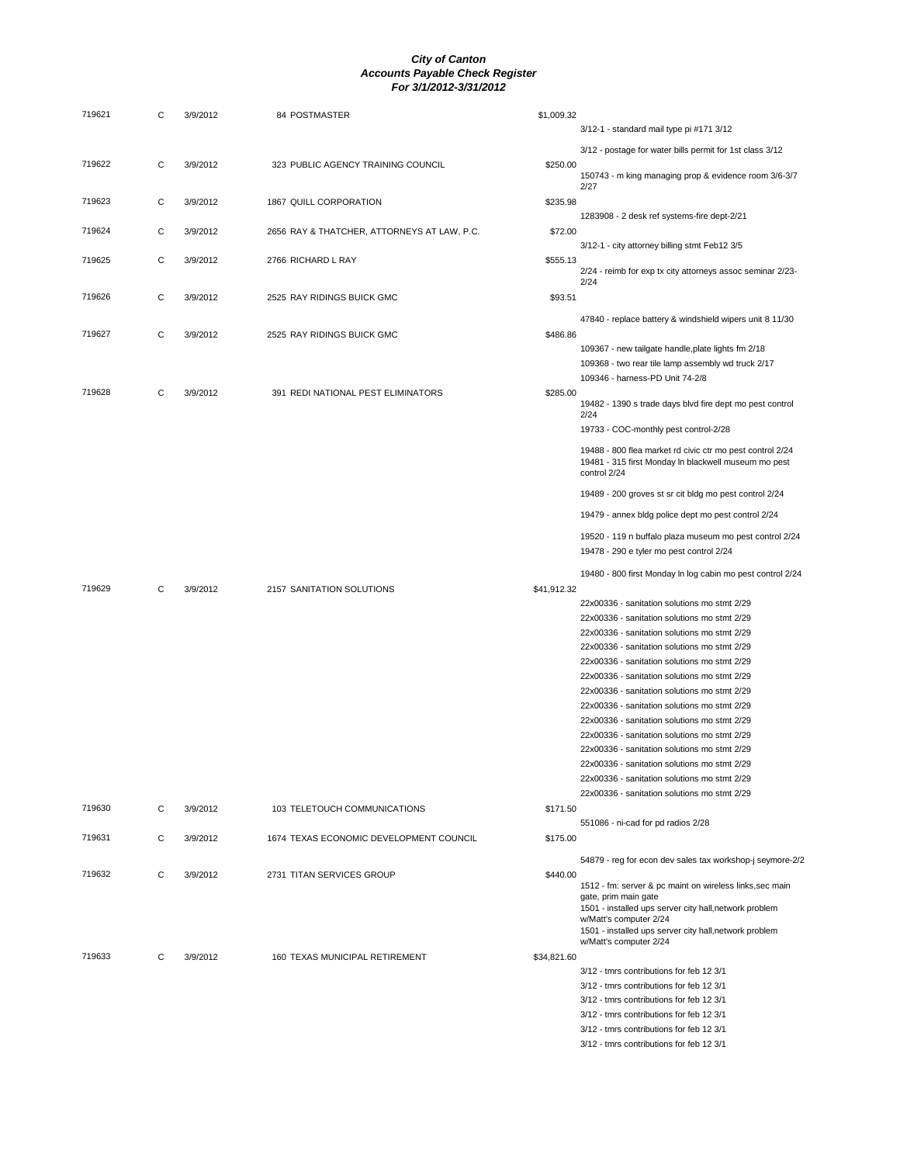| 719621 | C | 3/9/2012 | 84 POSTMASTER                               | \$1,009.32  |                                                                                              |
|--------|---|----------|---------------------------------------------|-------------|----------------------------------------------------------------------------------------------|
|        |   |          |                                             |             | 3/12-1 - standard mail type pi #171 3/12                                                     |
|        |   |          |                                             |             |                                                                                              |
|        |   |          |                                             |             | 3/12 - postage for water bills permit for 1st class 3/12                                     |
| 719622 | С | 3/9/2012 | 323 PUBLIC AGENCY TRAINING COUNCIL          | \$250.00    | 150743 - m king managing prop & evidence room 3/6-3/7                                        |
|        |   |          |                                             |             | 2/27                                                                                         |
| 719623 | C | 3/9/2012 | 1867 QUILL CORPORATION                      | \$235.98    |                                                                                              |
|        |   |          |                                             |             | 1283908 - 2 desk ref systems-fire dept-2/21                                                  |
| 719624 | С | 3/9/2012 | 2656 RAY & THATCHER, ATTORNEYS AT LAW, P.C. | \$72.00     |                                                                                              |
|        |   |          |                                             |             | 3/12-1 - city attorney billing stmt Feb12 3/5                                                |
| 719625 | C | 3/9/2012 | 2766 RICHARD L RAY                          | \$555.13    |                                                                                              |
|        |   |          |                                             |             | 2/24 - reimb for exp tx city attorneys assoc seminar 2/23-                                   |
|        |   |          |                                             |             | 2/24                                                                                         |
| 719626 | C | 3/9/2012 | 2525 RAY RIDINGS BUICK GMC                  | \$93.51     |                                                                                              |
|        |   |          |                                             |             | 47840 - replace battery & windshield wipers unit 8 11/30                                     |
| 719627 | С |          |                                             | \$486.86    |                                                                                              |
|        |   | 3/9/2012 | 2525 RAY RIDINGS BUICK GMC                  |             |                                                                                              |
|        |   |          |                                             |             | 109367 - new tailgate handle, plate lights fm 2/18                                           |
|        |   |          |                                             |             | 109368 - two rear tile lamp assembly wd truck 2/17                                           |
|        |   |          |                                             |             | 109346 - harness-PD Unit 74-2/8                                                              |
| 719628 | C | 3/9/2012 | 391 REDI NATIONAL PEST ELIMINATORS          | \$285.00    |                                                                                              |
|        |   |          |                                             |             | 19482 - 1390 s trade days blvd fire dept mo pest control<br>2/24                             |
|        |   |          |                                             |             | 19733 - COC-monthly pest control-2/28                                                        |
|        |   |          |                                             |             |                                                                                              |
|        |   |          |                                             |             | 19488 - 800 flea market rd civic ctr mo pest control 2/24                                    |
|        |   |          |                                             |             | 19481 - 315 first Monday In blackwell museum mo pest<br>control 2/24                         |
|        |   |          |                                             |             |                                                                                              |
|        |   |          |                                             |             | 19489 - 200 groves st sr cit bldg mo pest control 2/24                                       |
|        |   |          |                                             |             | 19479 - annex bldg police dept mo pest control 2/24                                          |
|        |   |          |                                             |             |                                                                                              |
|        |   |          |                                             |             | 19520 - 119 n buffalo plaza museum mo pest control 2/24                                      |
|        |   |          |                                             |             | 19478 - 290 e tyler mo pest control 2/24                                                     |
|        |   |          |                                             |             |                                                                                              |
|        |   |          |                                             |             | 19480 - 800 first Monday In log cabin mo pest control 2/24                                   |
| 719629 | С | 3/9/2012 | 2157 SANITATION SOLUTIONS                   | \$41,912.32 |                                                                                              |
|        |   |          |                                             |             | 22x00336 - sanitation solutions mo stmt 2/29                                                 |
|        |   |          |                                             |             | 22x00336 - sanitation solutions mo stmt 2/29                                                 |
|        |   |          |                                             |             | 22x00336 - sanitation solutions mo stmt 2/29                                                 |
|        |   |          |                                             |             | 22x00336 - sanitation solutions mo stmt 2/29                                                 |
|        |   |          |                                             |             | 22x00336 - sanitation solutions mo stmt 2/29                                                 |
|        |   |          |                                             |             | 22x00336 - sanitation solutions mo stmt 2/29                                                 |
|        |   |          |                                             |             |                                                                                              |
|        |   |          |                                             |             | 22x00336 - sanitation solutions mo stmt 2/29<br>22x00336 - sanitation solutions mo stmt 2/29 |
|        |   |          |                                             |             |                                                                                              |
|        |   |          |                                             |             | 22x00336 - sanitation solutions mo stmt 2/29                                                 |
|        |   |          |                                             |             | 22x00336 - sanitation solutions mo stmt 2/29                                                 |
|        |   |          |                                             |             | 22x00336 - sanitation solutions mo stmt 2/29                                                 |
|        |   |          |                                             |             | 22x00336 - sanitation solutions mo stmt 2/29                                                 |
|        |   |          |                                             |             | 22x00336 - sanitation solutions mo stmt 2/29                                                 |
|        |   |          |                                             |             | 22x00336 - sanitation solutions mo stmt 2/29                                                 |
| 719630 | С | 3/9/2012 | 103 TELETOUCH COMMUNICATIONS                | \$171.50    |                                                                                              |
|        |   |          |                                             |             | 551086 - ni-cad for pd radios 2/28                                                           |
| 719631 | С | 3/9/2012 | 1674 TEXAS ECONOMIC DEVELOPMENT COUNCIL     | \$175.00    |                                                                                              |
|        |   |          |                                             |             | 54879 - reg for econ dev sales tax workshop-j seymore-2/2                                    |
| 719632 | С | 3/9/2012 | 2731 TITAN SERVICES GROUP                   | \$440.00    |                                                                                              |
|        |   |          |                                             |             | 1512 - fm: server & pc maint on wireless links, sec main                                     |
|        |   |          |                                             |             | gate, prim main gate                                                                         |
|        |   |          |                                             |             | 1501 - installed ups server city hall, network problem                                       |
|        |   |          |                                             |             | w/Matt's computer 2/24<br>1501 - installed ups server city hall, network problem             |
|        |   |          |                                             |             | w/Matt's computer 2/24                                                                       |
| 719633 | C | 3/9/2012 | 160 TEXAS MUNICIPAL RETIREMENT              | \$34,821.60 |                                                                                              |
|        |   |          |                                             |             | 3/12 - tmrs contributions for feb 12 3/1                                                     |
|        |   |          |                                             |             | 3/12 - tmrs contributions for feb 12 3/1                                                     |
|        |   |          |                                             |             | 3/12 - tmrs contributions for feb 12 3/1                                                     |
|        |   |          |                                             |             | 3/12 - tmrs contributions for feb 12 3/1                                                     |
|        |   |          |                                             |             | 3/12 - tmrs contributions for feb 12 3/1                                                     |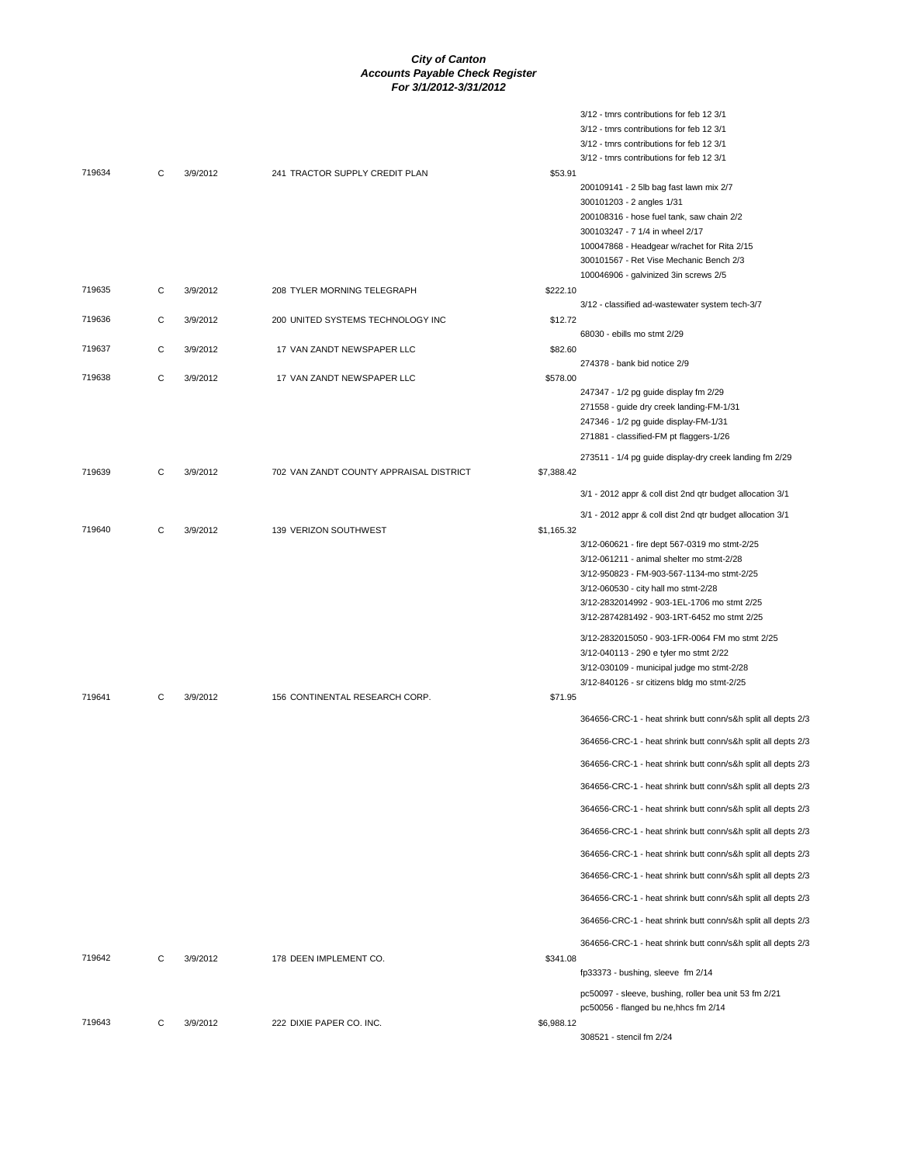3/12 - tmrs contributions for feb 12 3/1

|        |   |          |                                         |            | 3/12 - tmrs contributions for feb 12 3/1                             |
|--------|---|----------|-----------------------------------------|------------|----------------------------------------------------------------------|
|        |   |          |                                         |            | 3/12 - tmrs contributions for feb 12 3/1                             |
|        |   |          |                                         |            | 3/12 - tmrs contributions for feb 12 3/1                             |
| 719634 | C | 3/9/2012 | 241 TRACTOR SUPPLY CREDIT PLAN          | \$53.91    |                                                                      |
|        |   |          |                                         |            | 200109141 - 2 5lb bag fast lawn mix 2/7<br>300101203 - 2 angles 1/31 |
|        |   |          |                                         |            | 200108316 - hose fuel tank, saw chain 2/2                            |
|        |   |          |                                         |            | 300103247 - 7 1/4 in wheel 2/17                                      |
|        |   |          |                                         |            | 100047868 - Headgear w/rachet for Rita 2/15                          |
|        |   |          |                                         |            | 300101567 - Ret Vise Mechanic Bench 2/3                              |
|        |   |          |                                         |            | 100046906 - galvinized 3in screws 2/5                                |
| 719635 | C | 3/9/2012 | 208 TYLER MORNING TELEGRAPH             | \$222.10   |                                                                      |
|        |   |          |                                         |            | 3/12 - classified ad-wastewater system tech-3/7                      |
| 719636 | C | 3/9/2012 | 200 UNITED SYSTEMS TECHNOLOGY INC       | \$12.72    |                                                                      |
|        |   |          |                                         |            | 68030 - ebills mo stmt 2/29                                          |
| 719637 | C | 3/9/2012 | 17 VAN ZANDT NEWSPAPER LLC              | \$82.60    | 274378 - bank bid notice 2/9                                         |
| 719638 | С | 3/9/2012 | 17 VAN ZANDT NEWSPAPER LLC              | \$578.00   |                                                                      |
|        |   |          |                                         |            | 247347 - 1/2 pg guide display fm 2/29                                |
|        |   |          |                                         |            | 271558 - guide dry creek landing-FM-1/31                             |
|        |   |          |                                         |            | 247346 - 1/2 pg guide display-FM-1/31                                |
|        |   |          |                                         |            | 271881 - classified-FM pt flaggers-1/26                              |
|        |   |          |                                         |            | 273511 - 1/4 pg guide display-dry creek landing fm 2/29              |
| 719639 | C | 3/9/2012 | 702 VAN ZANDT COUNTY APPRAISAL DISTRICT | \$7,388.42 |                                                                      |
|        |   |          |                                         |            |                                                                      |
|        |   |          |                                         |            | 3/1 - 2012 appr & coll dist 2nd qtr budget allocation 3/1            |
| 719640 | C | 3/9/2012 | 139 VERIZON SOUTHWEST                   | \$1,165.32 | 3/1 - 2012 appr & coll dist 2nd qtr budget allocation 3/1            |
|        |   |          |                                         |            | 3/12-060621 - fire dept 567-0319 mo stmt-2/25                        |
|        |   |          |                                         |            | 3/12-061211 - animal shelter mo stmt-2/28                            |
|        |   |          |                                         |            | 3/12-950823 - FM-903-567-1134-mo stmt-2/25                           |
|        |   |          |                                         |            | 3/12-060530 - city hall mo stmt-2/28                                 |
|        |   |          |                                         |            | 3/12-2832014992 - 903-1EL-1706 mo stmt 2/25                          |
|        |   |          |                                         |            | 3/12-2874281492 - 903-1RT-6452 mo stmt 2/25                          |
|        |   |          |                                         |            | 3/12-2832015050 - 903-1FR-0064 FM mo stmt 2/25                       |
|        |   |          |                                         |            | 3/12-040113 - 290 e tyler mo stmt 2/22                               |
|        |   |          |                                         |            | 3/12-030109 - municipal judge mo stmt-2/28                           |
|        |   |          |                                         |            | 3/12-840126 - sr citizens bldg mo stmt-2/25                          |
| 719641 | C | 3/9/2012 | 156 CONTINENTAL RESEARCH CORP.          | \$71.95    |                                                                      |
|        |   |          |                                         |            | 364656-CRC-1 - heat shrink butt conn/s&h split all depts 2/3         |
|        |   |          |                                         |            | 364656-CRC-1 - heat shrink butt conn/s&h split all depts 2/3         |
|        |   |          |                                         |            | 364656-CRC-1 - heat shrink butt conn/s&h split all depts 2/3         |
|        |   |          |                                         |            | 364656-CRC-1 - heat shrink butt conn/s&h split all depts 2/3         |
|        |   |          |                                         |            | 364656-CRC-1 - heat shrink butt conn/s&h split all depts 2/3         |
|        |   |          |                                         |            | 364656-CRC-1 - heat shrink butt conn/s&h split all depts 2/3         |
|        |   |          |                                         |            | 364656-CRC-1 - heat shrink butt conn/s&h split all depts 2/3         |
|        |   |          |                                         |            | 364656-CRC-1 - heat shrink butt conn/s&h split all depts 2/3         |
|        |   |          |                                         |            | 364656-CRC-1 - heat shrink butt conn/s&h split all depts 2/3         |
|        |   |          |                                         |            | 364656-CRC-1 - heat shrink butt conn/s&h split all depts 2/3         |
| 719642 |   |          | 178 DEEN IMPLEMENT CO.                  |            | 364656-CRC-1 - heat shrink butt conn/s&h split all depts 2/3         |
|        | С | 3/9/2012 |                                         | \$341.08   | fp33373 - bushing, sleeve fm 2/14                                    |
|        |   |          |                                         |            | pc50097 - sleeve, bushing, roller bea unit 53 fm 2/21                |
|        |   |          |                                         |            | pc50056 - flanged bu ne, hhcs fm 2/14                                |
| 719643 | C | 3/9/2012 | 222 DIXIE PAPER CO. INC.                | \$6,988.12 |                                                                      |
|        |   |          |                                         |            | 308521 - stencil fm 2/24                                             |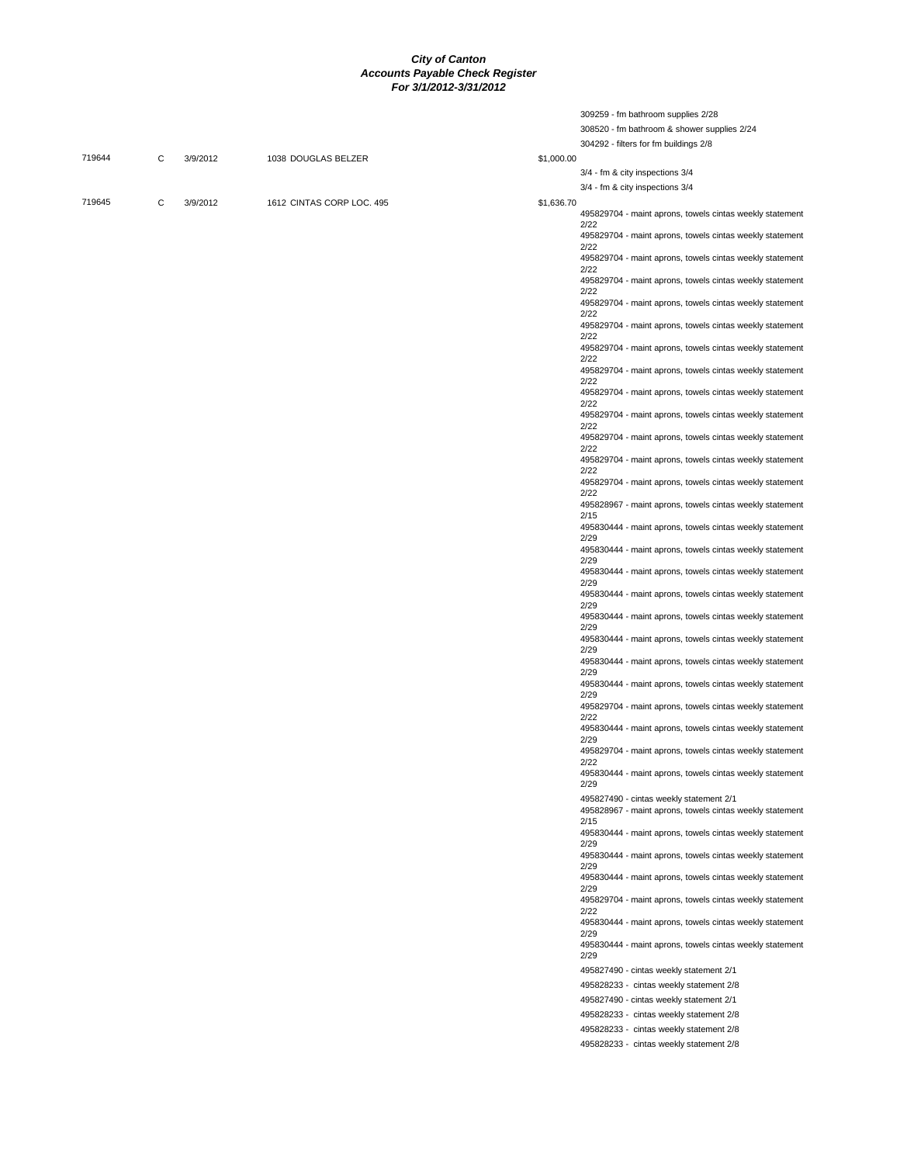309259 - fm bathroom supplies 2/28

|        |   |          |                           |            | 308520 - fm bathroom & shower supplies 2/24                                                         |
|--------|---|----------|---------------------------|------------|-----------------------------------------------------------------------------------------------------|
|        |   |          |                           |            | 304292 - filters for fm buildings 2/8                                                               |
| 719644 | C | 3/9/2012 | 1038 DOUGLAS BELZER       | \$1,000.00 |                                                                                                     |
|        |   |          |                           |            | 3/4 - fm & city inspections 3/4                                                                     |
|        |   |          |                           |            | 3/4 - fm & city inspections 3/4                                                                     |
| 719645 | C | 3/9/2012 | 1612 CINTAS CORP LOC. 495 | \$1,636.70 |                                                                                                     |
|        |   |          |                           |            | 495829704 - maint aprons, towels cintas weekly statement                                            |
|        |   |          |                           |            | 2/22<br>495829704 - maint aprons, towels cintas weekly statement                                    |
|        |   |          |                           |            | 2/22<br>495829704 - maint aprons, towels cintas weekly statement                                    |
|        |   |          |                           |            | 2/22<br>495829704 - maint aprons, towels cintas weekly statement                                    |
|        |   |          |                           |            | 2/22                                                                                                |
|        |   |          |                           |            | 495829704 - maint aprons, towels cintas weekly statement<br>2/22                                    |
|        |   |          |                           |            | 495829704 - maint aprons, towels cintas weekly statement<br>2/22                                    |
|        |   |          |                           |            | 495829704 - maint aprons, towels cintas weekly statement<br>2/22                                    |
|        |   |          |                           |            | 495829704 - maint aprons, towels cintas weekly statement                                            |
|        |   |          |                           |            | 2/22<br>495829704 - maint aprons, towels cintas weekly statement                                    |
|        |   |          |                           |            | 2/22<br>495829704 - maint aprons, towels cintas weekly statement                                    |
|        |   |          |                           |            | 2/22<br>495829704 - maint aprons, towels cintas weekly statement                                    |
|        |   |          |                           |            | 2/22                                                                                                |
|        |   |          |                           |            | 495829704 - maint aprons, towels cintas weekly statement<br>2/22                                    |
|        |   |          |                           |            | 495829704 - maint aprons, towels cintas weekly statement<br>2/22                                    |
|        |   |          |                           |            | 495828967 - maint aprons, towels cintas weekly statement                                            |
|        |   |          |                           |            | 2/15<br>495830444 - maint aprons, towels cintas weekly statement                                    |
|        |   |          |                           |            | 2/29<br>495830444 - maint aprons, towels cintas weekly statement                                    |
|        |   |          |                           |            | 2/29<br>495830444 - maint aprons, towels cintas weekly statement                                    |
|        |   |          |                           |            | 2/29<br>495830444 - maint aprons, towels cintas weekly statement                                    |
|        |   |          |                           |            | 2/29                                                                                                |
|        |   |          |                           |            | 495830444 - maint aprons, towels cintas weekly statement<br>2/29                                    |
|        |   |          |                           |            | 495830444 - maint aprons, towels cintas weekly statement<br>2/29                                    |
|        |   |          |                           |            | 495830444 - maint aprons, towels cintas weekly statement<br>2/29                                    |
|        |   |          |                           |            | 495830444 - maint aprons, towels cintas weekly statement<br>2/29                                    |
|        |   |          |                           |            | 495829704 - maint aprons, towels cintas weekly statement                                            |
|        |   |          |                           |            | 2/22<br>495830444 - maint aprons, towels cintas weekly statement                                    |
|        |   |          |                           |            | 2/29<br>495829704 - maint aprons, towels cintas weekly statement                                    |
|        |   |          |                           |            | 2/22<br>495830444 - maint aprons, towels cintas weekly statement                                    |
|        |   |          |                           |            | 2/29                                                                                                |
|        |   |          |                           |            | 495827490 - cintas weekly statement 2/1<br>495828967 - maint aprons, towels cintas weekly statement |
|        |   |          |                           |            | 2/15                                                                                                |
|        |   |          |                           |            | 495830444 - maint aprons, towels cintas weekly statement<br>2/29                                    |
|        |   |          |                           |            | 495830444 - maint aprons, towels cintas weekly statement<br>2/29                                    |
|        |   |          |                           |            | 495830444 - maint aprons, towels cintas weekly statement<br>2/29                                    |
|        |   |          |                           |            | 495829704 - maint aprons, towels cintas weekly statement                                            |
|        |   |          |                           |            | 2/22<br>495830444 - maint aprons, towels cintas weekly statement                                    |
|        |   |          |                           |            | 2/29<br>495830444 - maint aprons, towels cintas weekly statement                                    |
|        |   |          |                           |            | 2/29                                                                                                |
|        |   |          |                           |            | 495827490 - cintas weekly statement 2/1                                                             |
|        |   |          |                           |            | 495828233 - cintas weekly statement 2/8                                                             |
|        |   |          |                           |            | 495827490 - cintas weekly statement 2/1<br>495828233 - cintas weekly statement 2/8                  |
|        |   |          |                           |            | 495828233 - cintas weekly statement 2/8                                                             |
|        |   |          |                           |            | 495828233 - cintas weekly statement 2/8                                                             |
|        |   |          |                           |            |                                                                                                     |
|        |   |          |                           |            |                                                                                                     |
|        |   |          |                           |            |                                                                                                     |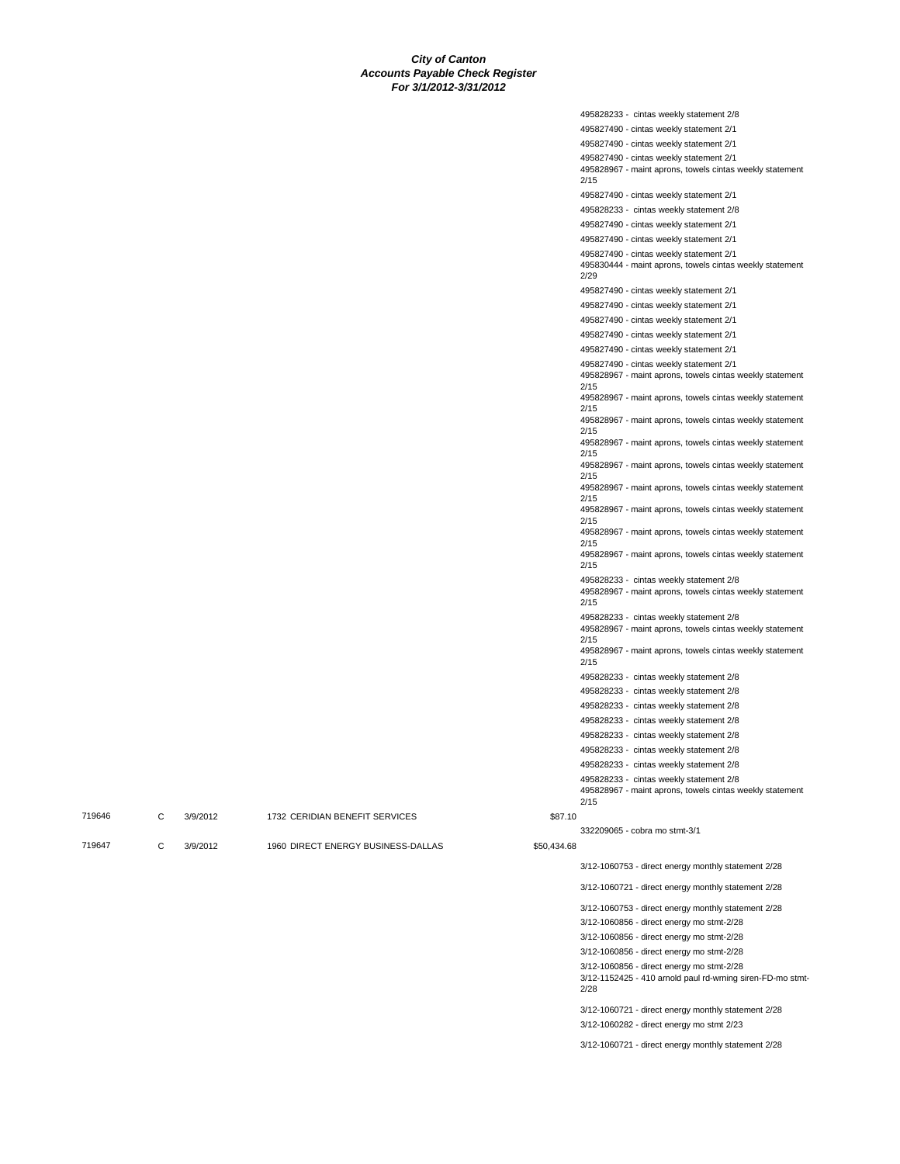| 495828233 - cintas weekly statement 2/8                                                             |
|-----------------------------------------------------------------------------------------------------|
| 495827490 - cintas weekly statement 2/1                                                             |
| 495827490 - cintas weekly statement 2/1                                                             |
| 495827490 - cintas weekly statement 2/1                                                             |
| 495828967 - maint aprons, towels cintas weekly statement                                            |
| 2/15                                                                                                |
| 495827490 - cintas weekly statement 2/1                                                             |
| 495828233 - cintas weekly statement 2/8                                                             |
| 495827490 - cintas weekly statement 2/1                                                             |
| 495827490 - cintas weekly statement 2/1                                                             |
| 495827490 - cintas weekly statement 2/1                                                             |
| 495830444 - maint aprons, towels cintas weekly statement                                            |
| 2/29                                                                                                |
| 495827490 - cintas weekly statement 2/1                                                             |
| 495827490 - cintas weekly statement 2/1                                                             |
| 495827490 - cintas weekly statement 2/1                                                             |
| 495827490 - cintas weekly statement 2/1                                                             |
| 495827490 - cintas weekly statement 2/1                                                             |
| 495827490 - cintas weekly statement 2/1                                                             |
| 495828967 - maint aprons, towels cintas weekly statement<br>2/15                                    |
| 495828967 - maint aprons, towels cintas weekly statement                                            |
| 2/15                                                                                                |
| 495828967 - maint aprons, towels cintas weekly statement                                            |
| 2/15<br>495828967 - maint aprons, towels cintas weekly statement                                    |
| 2/15                                                                                                |
| 495828967 - maint aprons, towels cintas weekly statement                                            |
| 2/15                                                                                                |
| 495828967 - maint aprons, towels cintas weekly statement<br>2/15                                    |
| 495828967 - maint aprons, towels cintas weekly statement                                            |
| 2/15                                                                                                |
| 495828967 - maint aprons, towels cintas weekly statement<br>2/15                                    |
| 495828967 - maint aprons, towels cintas weekly statement                                            |
| 2/15                                                                                                |
| 495828233 - cintas weekly statement 2/8                                                             |
| 495828967 - maint aprons, towels cintas weekly statement                                            |
| 2/15                                                                                                |
| 495828233 - cintas weekly statement 2/8<br>495828967 - maint aprons, towels cintas weekly statement |
| 2/15                                                                                                |
| 495828967 - maint aprons, towels cintas weekly statement                                            |
| 2/15                                                                                                |
| 495828233 - cintas weekly statement 2/8                                                             |
| 495828233 - cintas weekly statement 2/8                                                             |
| 495828233 - cintas weekly statement 2/8                                                             |
| 495828233 - cintas weekly statement 2/8                                                             |
| 495828233 - cintas weekly statement 2/8                                                             |
| 495828233 - cintas weekly statement 2/8                                                             |
| 495828233 - cintas weekly statement 2/8                                                             |
| 495828233 - cintas weekly statement 2/8                                                             |
| 495828967 - maint aprons, towels cintas weekly statement                                            |
| 2/15                                                                                                |
|                                                                                                     |
| 332209065 - cobra mo stmt-3/1                                                                       |

| 719646 | 3/9/2012 | 1732 CERIDIAN BENEFIT SERVICES     | \$87.10     |                                                     |
|--------|----------|------------------------------------|-------------|-----------------------------------------------------|
|        |          |                                    |             | 332209065 - cobra mo stmt-3/1                       |
| 719647 | 3/9/2012 | 1960 DIRECT ENERGY BUSINESS-DALLAS | \$50,434.68 |                                                     |
|        |          |                                    |             | 3/12-1060753 - direct energy monthly statement 2/28 |
|        |          |                                    |             | 3/12-1060721 - direct energy monthly statement 2/28 |

3/12-1060753 - direct energy monthly statement 2/28

3/12-1060856 - direct energy mo stmt-2/28

3/12-1060856 - direct energy mo stmt-2/28

3/12-1060856 - direct energy mo stmt-2/28

3/12-1060856 - direct energy mo stmt-2/28 3/12-1152425 - 410 arnold paul rd-wrning siren-FD-mo stmt-2/28

3/12-1060721 - direct energy monthly statement 2/28 3/12-1060282 - direct energy mo stmt 2/23

3/12-1060721 - direct energy monthly statement 2/28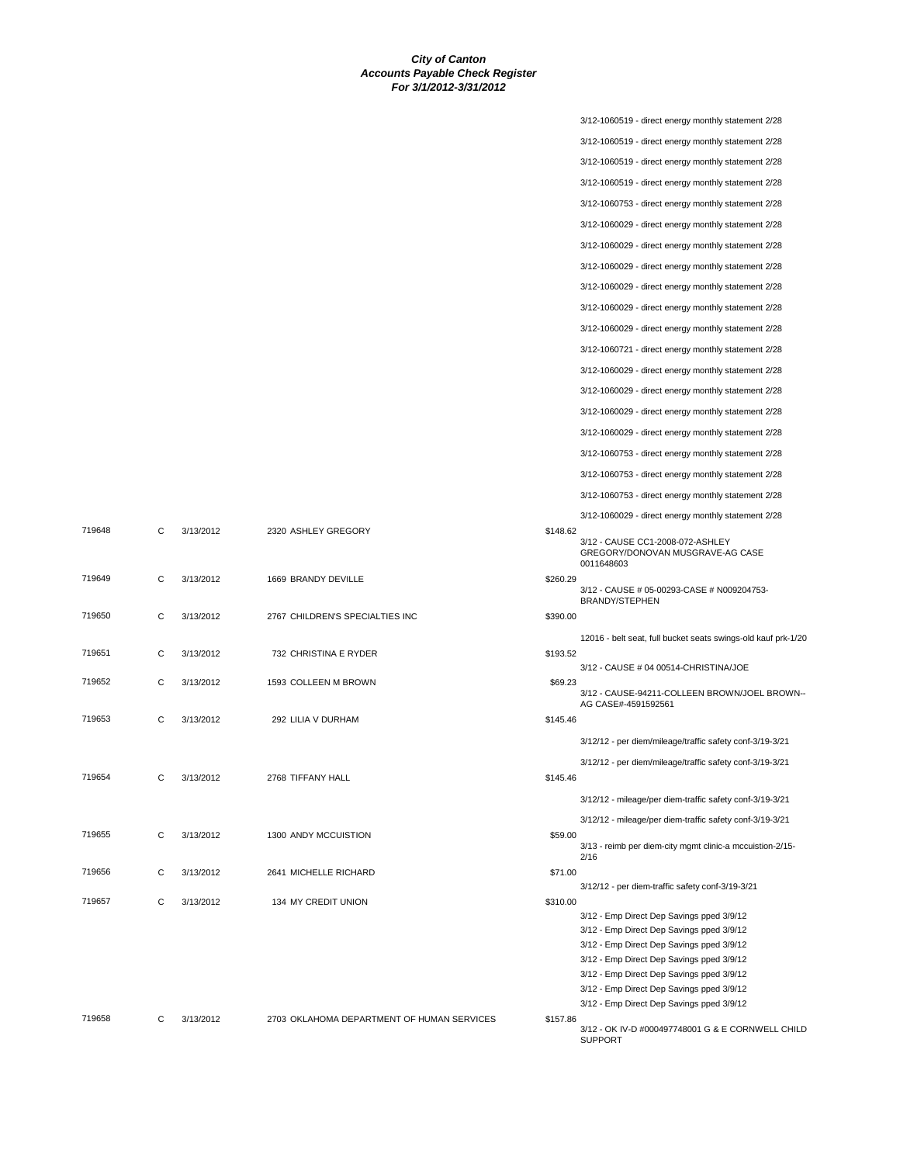|        |   |           |                                            |          | 3/12-1060519 - direct energy monthly statement 2/28                                |
|--------|---|-----------|--------------------------------------------|----------|------------------------------------------------------------------------------------|
|        |   |           |                                            |          | 3/12-1060519 - direct energy monthly statement 2/28                                |
|        |   |           |                                            |          | 3/12-1060519 - direct energy monthly statement 2/28                                |
|        |   |           |                                            |          | 3/12-1060519 - direct energy monthly statement 2/28                                |
|        |   |           |                                            |          | 3/12-1060753 - direct energy monthly statement 2/28                                |
|        |   |           |                                            |          | 3/12-1060029 - direct energy monthly statement 2/28                                |
|        |   |           |                                            |          | 3/12-1060029 - direct energy monthly statement 2/28                                |
|        |   |           |                                            |          |                                                                                    |
|        |   |           |                                            |          | 3/12-1060029 - direct energy monthly statement 2/28                                |
|        |   |           |                                            |          | 3/12-1060029 - direct energy monthly statement 2/28                                |
|        |   |           |                                            |          | 3/12-1060029 - direct energy monthly statement 2/28                                |
|        |   |           |                                            |          | 3/12-1060029 - direct energy monthly statement 2/28                                |
|        |   |           |                                            |          | 3/12-1060721 - direct energy monthly statement 2/28                                |
|        |   |           |                                            |          | 3/12-1060029 - direct energy monthly statement 2/28                                |
|        |   |           |                                            |          | 3/12-1060029 - direct energy monthly statement 2/28                                |
|        |   |           |                                            |          | 3/12-1060029 - direct energy monthly statement 2/28                                |
|        |   |           |                                            |          | 3/12-1060029 - direct energy monthly statement 2/28                                |
|        |   |           |                                            |          | 3/12-1060753 - direct energy monthly statement 2/28                                |
|        |   |           |                                            |          | 3/12-1060753 - direct energy monthly statement 2/28                                |
|        |   |           |                                            |          |                                                                                    |
|        |   |           |                                            |          | 3/12-1060753 - direct energy monthly statement 2/28                                |
| 719648 | C | 3/13/2012 | 2320 ASHLEY GREGORY                        | \$148.62 | 3/12-1060029 - direct energy monthly statement 2/28                                |
|        |   |           |                                            |          | 3/12 - CAUSE CC1-2008-072-ASHLEY<br>GREGORY/DONOVAN MUSGRAVE-AG CASE<br>0011648603 |
| 719649 | С | 3/13/2012 | 1669 BRANDY DEVILLE                        | \$260.29 | 3/12 - CAUSE # 05-00293-CASE # N009204753-<br>BRANDY/STEPHEN                       |
| 719650 | C | 3/13/2012 | 2767 CHILDREN'S SPECIALTIES INC            | \$390.00 |                                                                                    |
|        |   |           |                                            |          | 12016 - belt seat, full bucket seats swings-old kauf prk-1/20                      |
| 719651 | C | 3/13/2012 | 732 CHRISTINA E RYDER                      | \$193.52 |                                                                                    |
| 719652 | C | 3/13/2012 | 1593 COLLEEN M BROWN                       | \$69.23  | 3/12 - CAUSE # 04 00514-CHRISTINA/JOE                                              |
|        |   |           |                                            |          | 3/12 - CAUSE-94211-COLLEEN BROWN/JOEL BROWN--<br>AG CASE#-4591592561               |
| 719653 | С | 3/13/2012 | 292 LILIA V DURHAM                         | \$145.46 |                                                                                    |
|        |   |           |                                            |          | 3/12/12 - per diem/mileage/traffic safety conf-3/19-3/21                           |
|        |   |           |                                            |          | 3/12/12 - per diem/mileage/traffic safety conf-3/19-3/21                           |
| 719654 | С | 3/13/2012 | 2768 TIFFANY HALL                          | \$145.46 |                                                                                    |
|        |   |           |                                            |          | 3/12/12 - mileage/per diem-traffic safety conf-3/19-3/21                           |
|        |   |           |                                            |          | 3/12/12 - mileage/per diem-traffic safety conf-3/19-3/21                           |
| 719655 | С | 3/13/2012 | 1300 ANDY MCCUISTION                       | \$59.00  |                                                                                    |
|        |   |           |                                            |          | 3/13 - reimb per diem-city mgmt clinic-a mccuistion-2/15-<br>2/16                  |
| 719656 | C | 3/13/2012 | 2641 MICHELLE RICHARD                      | \$71.00  |                                                                                    |
|        |   |           |                                            |          | 3/12/12 - per diem-traffic safety conf-3/19-3/21                                   |
| 719657 | C | 3/13/2012 | 134 MY CREDIT UNION                        | \$310.00 | 3/12 - Emp Direct Dep Savings pped 3/9/12                                          |
|        |   |           |                                            |          | 3/12 - Emp Direct Dep Savings pped 3/9/12                                          |
|        |   |           |                                            |          | 3/12 - Emp Direct Dep Savings pped 3/9/12                                          |
|        |   |           |                                            |          | 3/12 - Emp Direct Dep Savings pped 3/9/12                                          |
|        |   |           |                                            |          | 3/12 - Emp Direct Dep Savings pped 3/9/12                                          |
|        |   |           |                                            |          | 3/12 - Emp Direct Dep Savings pped 3/9/12                                          |
|        |   |           |                                            |          | 3/12 - Emp Direct Dep Savings pped 3/9/12                                          |
| 719658 | С | 3/13/2012 | 2703 OKLAHOMA DEPARTMENT OF HUMAN SERVICES | \$157.86 | 3/12 - OK IV-D #000497748001 G & E CORNWELL CHILD<br><b>SUPPORT</b>                |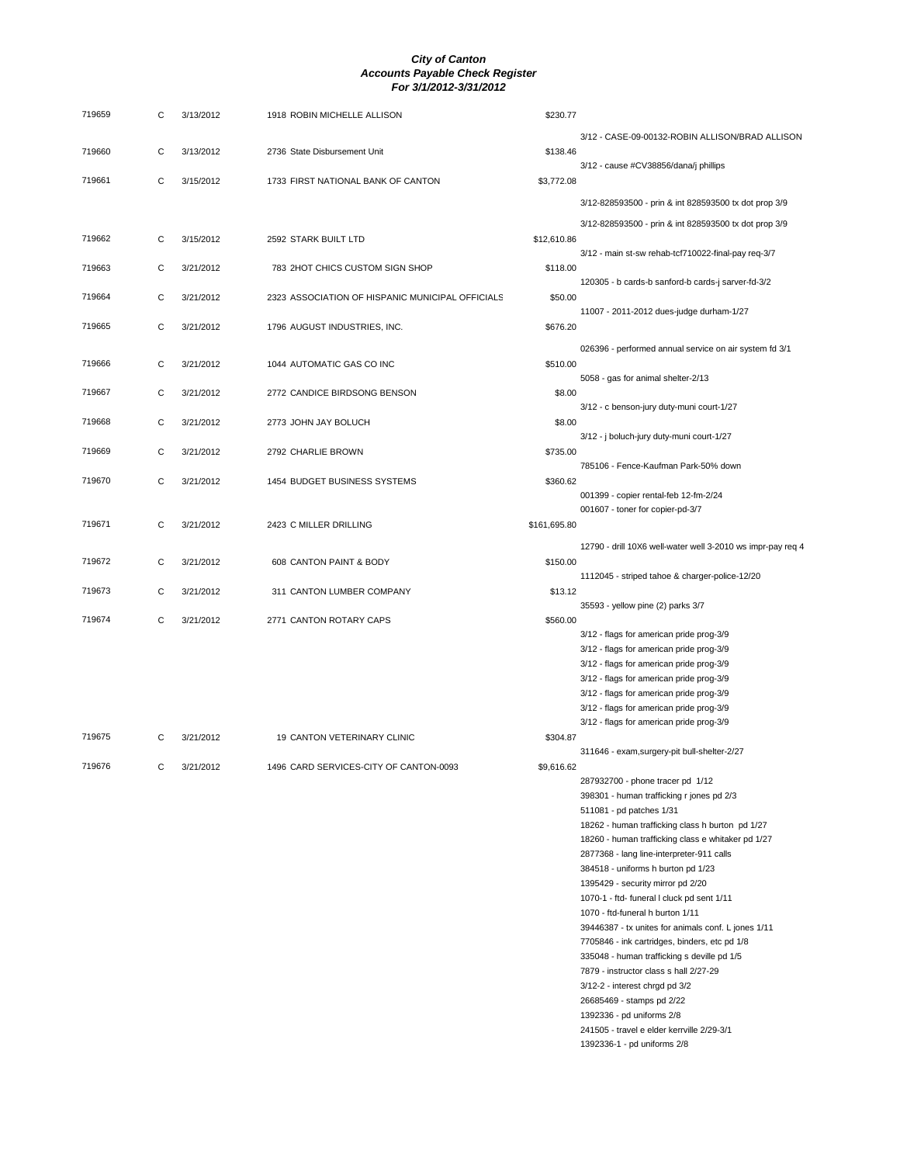| 719659 | С | 3/13/2012 | 1918 ROBIN MICHELLE ALLISON                      | \$230.77     |                                                                                      |
|--------|---|-----------|--------------------------------------------------|--------------|--------------------------------------------------------------------------------------|
|        |   |           |                                                  |              | 3/12 - CASE-09-00132-ROBIN ALLISON/BRAD ALLISON                                      |
| 719660 | C | 3/13/2012 | 2736 State Disbursement Unit                     | \$138.46     |                                                                                      |
|        |   |           |                                                  |              | 3/12 - cause #CV38856/dana/j phillips                                                |
| 719661 | C | 3/15/2012 | 1733 FIRST NATIONAL BANK OF CANTON               | \$3,772.08   |                                                                                      |
|        |   |           |                                                  |              | 3/12-828593500 - prin & int 828593500 tx dot prop 3/9                                |
|        |   |           |                                                  |              | 3/12-828593500 - prin & int 828593500 tx dot prop 3/9                                |
| 719662 | C | 3/15/2012 | 2592 STARK BUILT LTD                             | \$12,610.86  |                                                                                      |
|        |   |           |                                                  |              | 3/12 - main st-sw rehab-tcf710022-final-pay req-3/7                                  |
| 719663 | C | 3/21/2012 | 783 2HOT CHICS CUSTOM SIGN SHOP                  | \$118.00     |                                                                                      |
| 719664 | С | 3/21/2012 | 2323 ASSOCIATION OF HISPANIC MUNICIPAL OFFICIALS | \$50.00      | 120305 - b cards-b sanford-b cards-j sarver-fd-3/2                                   |
|        |   |           |                                                  |              | 11007 - 2011-2012 dues-judge durham-1/27                                             |
| 719665 | C | 3/21/2012 | 1796 AUGUST INDUSTRIES, INC.                     | \$676.20     |                                                                                      |
|        |   |           |                                                  |              |                                                                                      |
| 719666 | С | 3/21/2012 | 1044 AUTOMATIC GAS CO INC                        | \$510.00     | 026396 - performed annual service on air system fd 3/1                               |
|        |   |           |                                                  |              | 5058 - gas for animal shelter-2/13                                                   |
| 719667 | С | 3/21/2012 | 2772 CANDICE BIRDSONG BENSON                     | \$8.00       |                                                                                      |
|        |   |           |                                                  |              | 3/12 - c benson-jury duty-muni court-1/27                                            |
| 719668 | C | 3/21/2012 | 2773 JOHN JAY BOLUCH                             | \$8.00       |                                                                                      |
|        |   |           |                                                  |              | 3/12 - j boluch-jury duty-muni court-1/27                                            |
| 719669 | С | 3/21/2012 | 2792 CHARLIE BROWN                               | \$735.00     | 785106 - Fence-Kaufman Park-50% down                                                 |
| 719670 | С | 3/21/2012 | 1454 BUDGET BUSINESS SYSTEMS                     | \$360.62     |                                                                                      |
|        |   |           |                                                  |              | 001399 - copier rental-feb 12-fm-2/24                                                |
|        |   |           |                                                  |              | 001607 - toner for copier-pd-3/7                                                     |
| 719671 | C | 3/21/2012 | 2423 C MILLER DRILLING                           | \$161,695.80 |                                                                                      |
|        |   |           |                                                  |              | 12790 - drill 10X6 well-water well 3-2010 ws impr-pay req 4                          |
| 719672 | С | 3/21/2012 | 608 CANTON PAINT & BODY                          | \$150.00     |                                                                                      |
|        |   |           |                                                  |              | 1112045 - striped tahoe & charger-police-12/20                                       |
| 719673 | C | 3/21/2012 | 311 CANTON LUMBER COMPANY                        | \$13.12      |                                                                                      |
| 719674 | C | 3/21/2012 | 2771 CANTON ROTARY CAPS                          | \$560.00     | 35593 - yellow pine (2) parks 3/7                                                    |
|        |   |           |                                                  |              | 3/12 - flags for american pride prog-3/9                                             |
|        |   |           |                                                  |              | 3/12 - flags for american pride prog-3/9                                             |
|        |   |           |                                                  |              | 3/12 - flags for american pride prog-3/9                                             |
|        |   |           |                                                  |              | 3/12 - flags for american pride prog-3/9                                             |
|        |   |           |                                                  |              | 3/12 - flags for american pride prog-3/9                                             |
|        |   |           |                                                  |              | 3/12 - flags for american pride prog-3/9<br>3/12 - flags for american pride prog-3/9 |
| 719675 | C | 3/21/2012 | 19 CANTON VETERINARY CLINIC                      | \$304.87     |                                                                                      |
|        |   |           |                                                  |              | 311646 - exam, surgery-pit bull-shelter-2/27                                         |
| 719676 | C | 3/21/2012 | 1496 CARD SERVICES-CITY OF CANTON-0093           | \$9,616.62   |                                                                                      |
|        |   |           |                                                  |              | 287932700 - phone tracer pd 1/12                                                     |
|        |   |           |                                                  |              | 398301 - human trafficking r jones pd 2/3<br>511081 - pd patches 1/31                |
|        |   |           |                                                  |              | 18262 - human trafficking class h burton pd 1/27                                     |
|        |   |           |                                                  |              | 18260 - human trafficking class e whitaker pd 1/27                                   |
|        |   |           |                                                  |              | 2877368 - lang line-interpreter-911 calls                                            |
|        |   |           |                                                  |              | 384518 - uniforms h burton pd 1/23                                                   |
|        |   |           |                                                  |              | 1395429 - security mirror pd 2/20                                                    |
|        |   |           |                                                  |              | 1070-1 - ftd- funeral I cluck pd sent 1/11<br>1070 - ftd-funeral h burton 1/11       |
|        |   |           |                                                  |              | 39446387 - tx unites for animals conf. L jones 1/11                                  |
|        |   |           |                                                  |              | 7705846 - ink cartridges, binders, etc pd 1/8                                        |
|        |   |           |                                                  |              | 335048 - human trafficking s deville pd 1/5                                          |
|        |   |           |                                                  |              | 7879 - instructor class s hall 2/27-29                                               |
|        |   |           |                                                  |              | 3/12-2 - interest chrgd pd 3/2                                                       |
|        |   |           |                                                  |              | 26685469 - stamps pd 2/22                                                            |
|        |   |           |                                                  |              | 1392336 - pd uniforms 2/8<br>241505 - travel e elder kerrville 2/29-3/1              |
|        |   |           |                                                  |              | 1392336-1 - pd uniforms 2/8                                                          |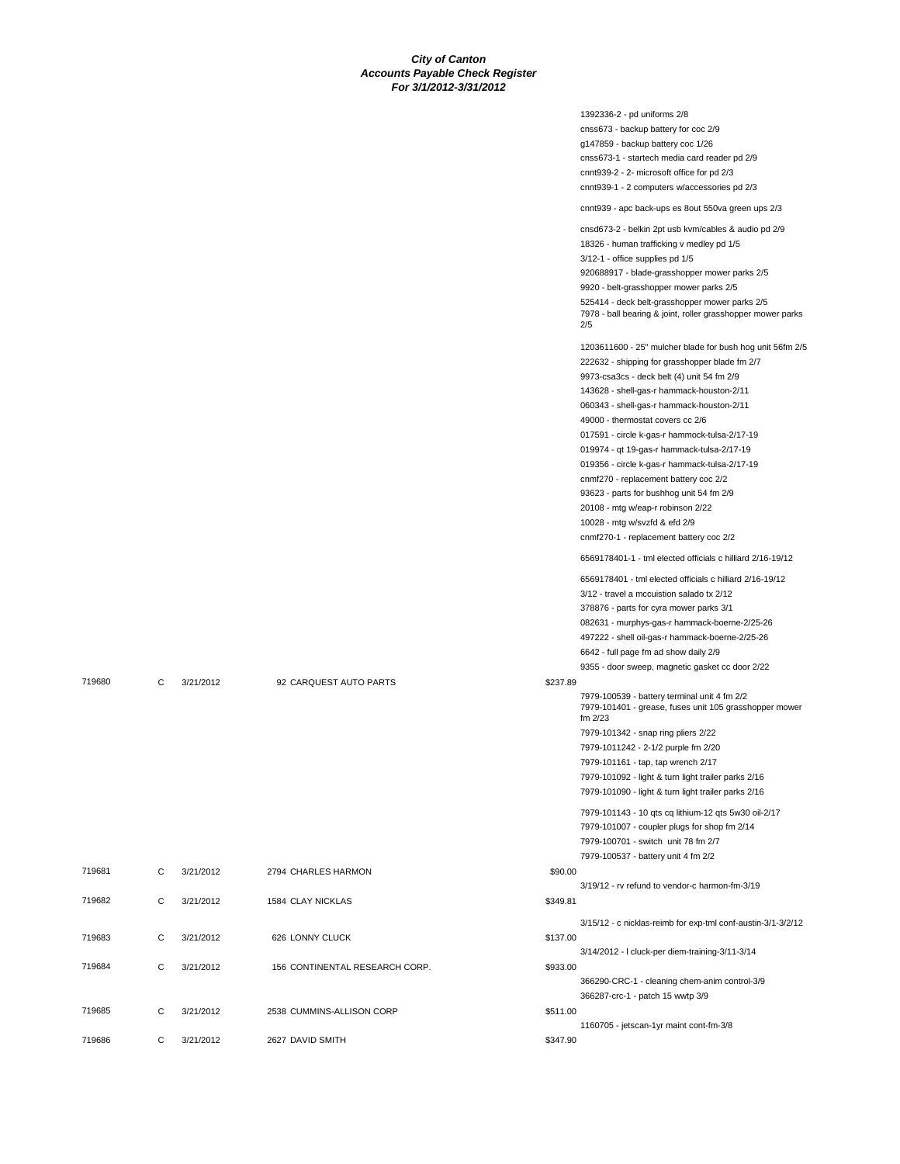|        |   |           |                                |          | 1392336-2 - pd uniforms 2/8                                                                                          |
|--------|---|-----------|--------------------------------|----------|----------------------------------------------------------------------------------------------------------------------|
|        |   |           |                                |          | cnss673 - backup battery for coc 2/9                                                                                 |
|        |   |           |                                |          | g147859 - backup battery coc 1/26                                                                                    |
|        |   |           |                                |          | cnss673-1 - startech media card reader pd 2/9                                                                        |
|        |   |           |                                |          | cnnt939-2 - 2- microsoft office for pd 2/3                                                                           |
|        |   |           |                                |          | cnnt939-1 - 2 computers w/accessories pd 2/3                                                                         |
|        |   |           |                                |          | cnnt939 - apc back-ups es 8out 550va green ups 2/3                                                                   |
|        |   |           |                                |          | cnsd673-2 - belkin 2pt usb kvm/cables & audio pd 2/9                                                                 |
|        |   |           |                                |          | 18326 - human trafficking v medley pd 1/5                                                                            |
|        |   |           |                                |          | 3/12-1 - office supplies pd 1/5                                                                                      |
|        |   |           |                                |          | 920688917 - blade-grasshopper mower parks 2/5                                                                        |
|        |   |           |                                |          | 9920 - belt-grasshopper mower parks 2/5                                                                              |
|        |   |           |                                |          | 525414 - deck belt-grasshopper mower parks 2/5<br>7978 - ball bearing & joint, roller grasshopper mower parks<br>2/5 |
|        |   |           |                                |          | 1203611600 - 25" mulcher blade for bush hog unit 56fm 2/5                                                            |
|        |   |           |                                |          | 222632 - shipping for grasshopper blade fm 2/7                                                                       |
|        |   |           |                                |          |                                                                                                                      |
|        |   |           |                                |          | 9973-csa3cs - deck belt (4) unit 54 fm 2/9                                                                           |
|        |   |           |                                |          | 143628 - shell-gas-r hammack-houston-2/11                                                                            |
|        |   |           |                                |          | 060343 - shell-gas-r hammack-houston-2/11                                                                            |
|        |   |           |                                |          | 49000 - thermostat covers cc 2/6                                                                                     |
|        |   |           |                                |          | 017591 - circle k-gas-r hammock-tulsa-2/17-19                                                                        |
|        |   |           |                                |          | 019974 - qt 19-gas-r hammack-tulsa-2/17-19                                                                           |
|        |   |           |                                |          | 019356 - circle k-gas-r hammack-tulsa-2/17-19                                                                        |
|        |   |           |                                |          | cnmf270 - replacement battery coc 2/2                                                                                |
|        |   |           |                                |          | 93623 - parts for bushhog unit 54 fm 2/9                                                                             |
|        |   |           |                                |          | 20108 - mtg w/eap-r robinson 2/22                                                                                    |
|        |   |           |                                |          | 10028 - mtg w/svzfd & efd 2/9                                                                                        |
|        |   |           |                                |          | cnmf270-1 - replacement battery coc 2/2                                                                              |
|        |   |           |                                |          | 6569178401-1 - tml elected officials c hilliard 2/16-19/12                                                           |
|        |   |           |                                |          | 6569178401 - tml elected officials c hilliard 2/16-19/12                                                             |
|        |   |           |                                |          | 3/12 - travel a mccuistion salado tx 2/12                                                                            |
|        |   |           |                                |          | 378876 - parts for cyra mower parks 3/1                                                                              |
|        |   |           |                                |          | 082631 - murphys-gas-r hammack-boerne-2/25-26                                                                        |
|        |   |           |                                |          | 497222 - shell oil-gas-r hammack-boerne-2/25-26                                                                      |
|        |   |           |                                |          | 6642 - full page fm ad show daily 2/9                                                                                |
|        |   |           |                                |          | 9355 - door sweep, magnetic gasket cc door 2/22                                                                      |
| 719680 | C | 3/21/2012 | 92 CARQUEST AUTO PARTS         | \$237.89 |                                                                                                                      |
|        |   |           |                                |          | 7979-100539 - battery terminal unit 4 fm 2/2<br>7979-101401 - grease, fuses unit 105 grasshopper mower<br>fm 2/23    |
|        |   |           |                                |          | 7979-101342 - snap ring pliers 2/22                                                                                  |
|        |   |           |                                |          | 7979-1011242 - 2-1/2 purple fm 2/20                                                                                  |
|        |   |           |                                |          | 7979-101161 - tap, tap wrench 2/17                                                                                   |
|        |   |           |                                |          | 7979-101092 - light & turn light trailer parks 2/16                                                                  |
|        |   |           |                                |          | 7979-101090 - light & turn light trailer parks 2/16                                                                  |
|        |   |           |                                |          | 7979-101143 - 10 qts cq lithium-12 qts 5w30 oil-2/17                                                                 |
|        |   |           |                                |          |                                                                                                                      |
|        |   |           |                                |          | 7979-101007 - coupler plugs for shop fm 2/14                                                                         |
|        |   |           |                                |          | 7979-100701 - switch unit 78 fm 2/7                                                                                  |
|        |   |           |                                |          | 7979-100537 - battery unit 4 fm 2/2                                                                                  |
| 719681 | C | 3/21/2012 | 2794 CHARLES HARMON            | \$90.00  |                                                                                                                      |
|        |   |           |                                |          | 3/19/12 - rv refund to vendor-c harmon-fm-3/19                                                                       |
| 719682 | C | 3/21/2012 | 1584 CLAY NICKLAS              | \$349.81 |                                                                                                                      |
|        |   |           |                                |          | 3/15/12 - c nicklas-reimb for exp-tml conf-austin-3/1-3/2/12                                                         |
| 719683 | C | 3/21/2012 | 626 LONNY CLUCK                | \$137.00 |                                                                                                                      |
|        |   |           |                                |          | 3/14/2012 - I cluck-per diem-training-3/11-3/14                                                                      |
| 719684 | C | 3/21/2012 | 156 CONTINENTAL RESEARCH CORP. | \$933.00 |                                                                                                                      |
|        |   |           |                                |          | 366290-CRC-1 - cleaning chem-anim control-3/9                                                                        |
|        |   |           |                                |          | 366287-crc-1 - patch 15 wwtp 3/9                                                                                     |
| 719685 | С | 3/21/2012 | 2538 CUMMINS-ALLISON CORP      | \$511.00 |                                                                                                                      |
|        |   |           |                                |          | 1160705 - jetscan-1yr maint cont-fm-3/8                                                                              |
| 719686 | C | 3/21/2012 | 2627 DAVID SMITH               | \$347.90 |                                                                                                                      |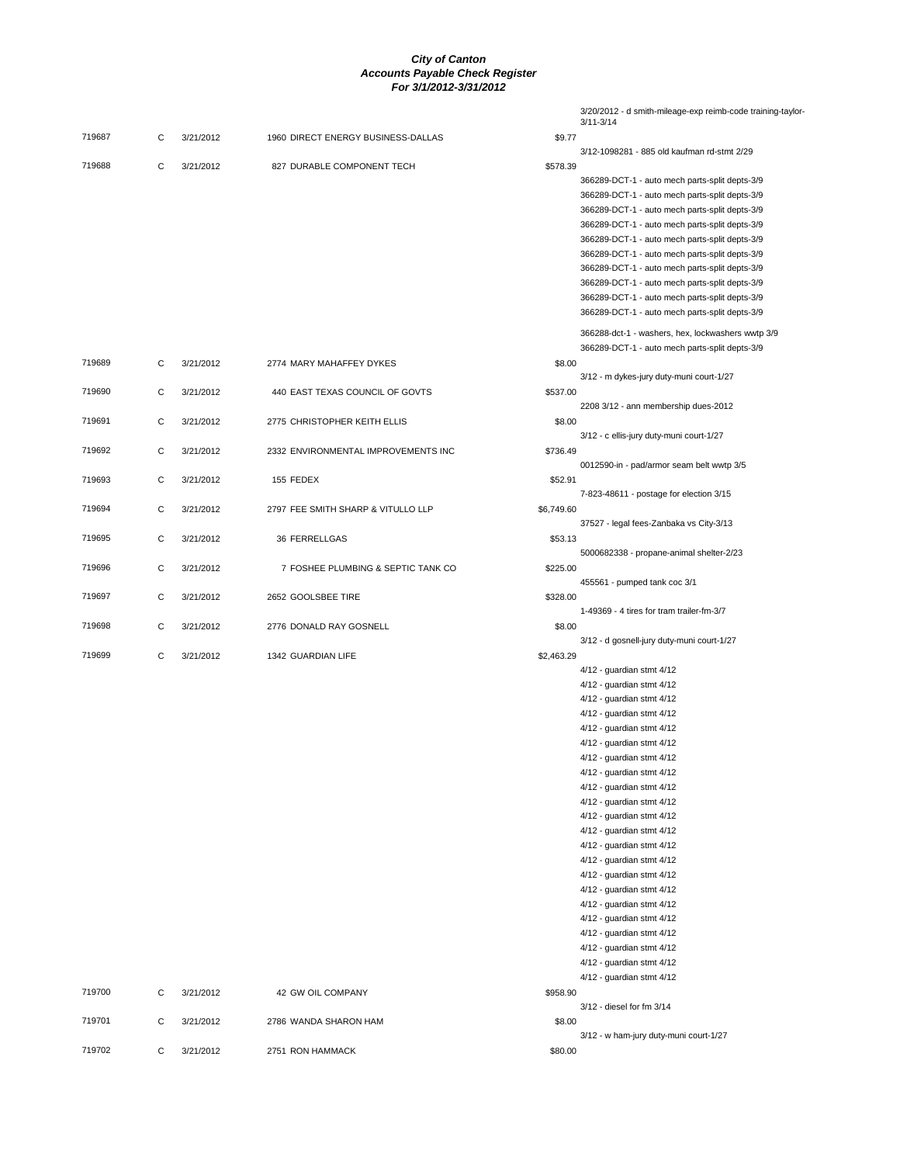|        |   |           |                                     |            | 3/20/2012 - d smith-mileage-exp reimb-code training-taylor-<br>$3/11 - 3/14$ |
|--------|---|-----------|-------------------------------------|------------|------------------------------------------------------------------------------|
| 719687 | C | 3/21/2012 | 1960 DIRECT ENERGY BUSINESS-DALLAS  | \$9.77     |                                                                              |
|        |   |           |                                     |            | 3/12-1098281 - 885 old kaufman rd-stmt 2/29                                  |
| 719688 | С | 3/21/2012 | 827 DURABLE COMPONENT TECH          | \$578.39   | 366289-DCT-1 - auto mech parts-split depts-3/9                               |
|        |   |           |                                     |            | 366289-DCT-1 - auto mech parts-split depts-3/9                               |
|        |   |           |                                     |            | 366289-DCT-1 - auto mech parts-split depts-3/9                               |
|        |   |           |                                     |            | 366289-DCT-1 - auto mech parts-split depts-3/9                               |
|        |   |           |                                     |            | 366289-DCT-1 - auto mech parts-split depts-3/9                               |
|        |   |           |                                     |            | 366289-DCT-1 - auto mech parts-split depts-3/9                               |
|        |   |           |                                     |            | 366289-DCT-1 - auto mech parts-split depts-3/9                               |
|        |   |           |                                     |            | 366289-DCT-1 - auto mech parts-split depts-3/9                               |
|        |   |           |                                     |            | 366289-DCT-1 - auto mech parts-split depts-3/9                               |
|        |   |           |                                     |            | 366289-DCT-1 - auto mech parts-split depts-3/9                               |
|        |   |           |                                     |            | 366288-dct-1 - washers, hex, lockwashers wwtp 3/9                            |
|        |   |           |                                     |            | 366289-DCT-1 - auto mech parts-split depts-3/9                               |
| 719689 | C | 3/21/2012 | 2774 MARY MAHAFFEY DYKES            | \$8.00     | 3/12 - m dykes-jury duty-muni court-1/27                                     |
| 719690 | C | 3/21/2012 | 440 EAST TEXAS COUNCIL OF GOVTS     | \$537.00   |                                                                              |
|        |   |           |                                     |            | 2208 3/12 - ann membership dues-2012                                         |
| 719691 | С | 3/21/2012 | 2775 CHRISTOPHER KEITH ELLIS        | \$8.00     |                                                                              |
|        |   |           |                                     |            | 3/12 - c ellis-jury duty-muni court-1/27                                     |
| 719692 | С | 3/21/2012 | 2332 ENVIRONMENTAL IMPROVEMENTS INC | \$736.49   |                                                                              |
|        |   |           |                                     |            | 0012590-in - pad/armor seam belt wwtp 3/5                                    |
| 719693 | C | 3/21/2012 | 155 FEDEX                           | \$52.91    |                                                                              |
| 719694 | С | 3/21/2012 | 2797 FEE SMITH SHARP & VITULLO LLP  |            | 7-823-48611 - postage for election 3/15                                      |
|        |   |           |                                     | \$6,749.60 | 37527 - legal fees-Zanbaka vs City-3/13                                      |
| 719695 | С | 3/21/2012 | 36 FERRELLGAS                       | \$53.13    |                                                                              |
|        |   |           |                                     |            | 5000682338 - propane-animal shelter-2/23                                     |
| 719696 | C | 3/21/2012 | 7 FOSHEE PLUMBING & SEPTIC TANK CO  | \$225.00   |                                                                              |
|        |   |           |                                     |            | 455561 - pumped tank coc 3/1                                                 |
| 719697 | С | 3/21/2012 | 2652 GOOLSBEE TIRE                  | \$328.00   |                                                                              |
|        |   |           |                                     |            | 1-49369 - 4 tires for tram trailer-fm-3/7                                    |
| 719698 | С | 3/21/2012 | 2776 DONALD RAY GOSNELL             | \$8.00     | 3/12 - d gosnell-jury duty-muni court-1/27                                   |
| 719699 | С | 3/21/2012 | 1342 GUARDIAN LIFE                  | \$2,463.29 |                                                                              |
|        |   |           |                                     |            | 4/12 - guardian stmt 4/12                                                    |
|        |   |           |                                     |            | 4/12 - guardian stmt 4/12                                                    |
|        |   |           |                                     |            | 4/12 - guardian stmt 4/12                                                    |
|        |   |           |                                     |            | 4/12 - guardian stmt 4/12                                                    |
|        |   |           |                                     |            | 4/12 - guardian stmt 4/12                                                    |
|        |   |           |                                     |            | 4/12 - guardian stmt 4/12                                                    |
|        |   |           |                                     |            | 4/12 - guardian stmt 4/12                                                    |
|        |   |           |                                     |            | 4/12 - guardian stmt 4/12                                                    |
|        |   |           |                                     |            | 4/12 - guardian stmt 4/12                                                    |
|        |   |           |                                     |            | 4/12 - guardian stmt 4/12                                                    |
|        |   |           |                                     |            | 4/12 - guardian stmt 4/12                                                    |
|        |   |           |                                     |            | 4/12 - guardian stmt 4/12                                                    |
|        |   |           |                                     |            | 4/12 - guardian stmt 4/12<br>4/12 - guardian stmt 4/12                       |
|        |   |           |                                     |            | 4/12 - guardian stmt 4/12                                                    |
|        |   |           |                                     |            | 4/12 - guardian stmt 4/12                                                    |
|        |   |           |                                     |            | 4/12 - guardian stmt 4/12                                                    |
|        |   |           |                                     |            | 4/12 - guardian stmt 4/12                                                    |
|        |   |           |                                     |            | 4/12 - guardian stmt 4/12                                                    |
|        |   |           |                                     |            | 4/12 - guardian stmt 4/12                                                    |
|        |   |           |                                     |            | 4/12 - guardian stmt 4/12                                                    |
|        |   |           |                                     |            | 4/12 - guardian stmt 4/12                                                    |
| 719700 | C | 3/21/2012 | 42 GW OIL COMPANY                   | \$958.90   |                                                                              |
|        |   |           |                                     |            | 3/12 - diesel for fm 3/14                                                    |
| 719701 | C | 3/21/2012 | 2786 WANDA SHARON HAM               | \$8.00     |                                                                              |
| 719702 | C | 3/21/2012 | 2751 RON HAMMACK                    | \$80.00    | 3/12 - w ham-jury duty-muni court-1/27                                       |
|        |   |           |                                     |            |                                                                              |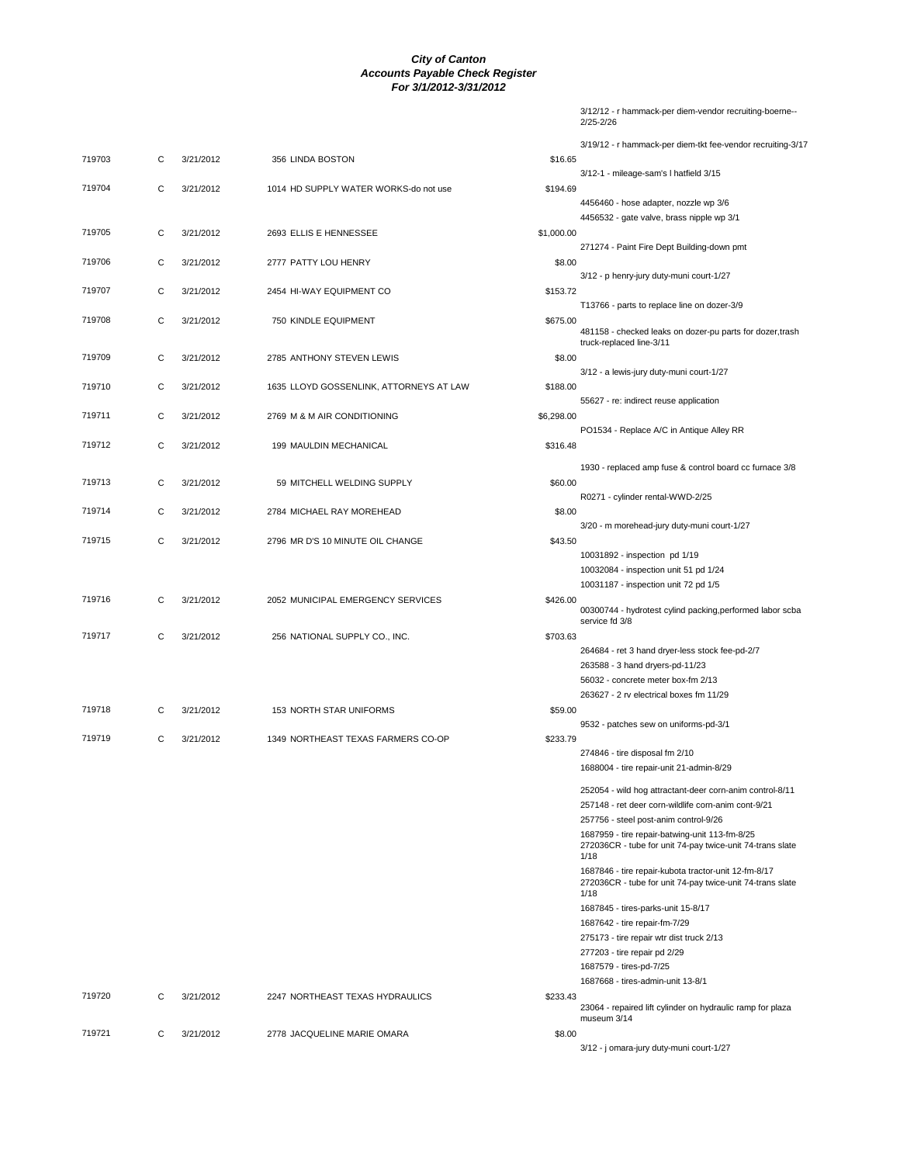|        |   |           |                                         |            | 3/19/12 - r hammack-per diem-tkt fee-vendor recruiting-3/17                                                         |
|--------|---|-----------|-----------------------------------------|------------|---------------------------------------------------------------------------------------------------------------------|
| 719703 | С | 3/21/2012 | 356 LINDA BOSTON                        | \$16.65    |                                                                                                                     |
|        |   |           |                                         |            | 3/12-1 - mileage-sam's I hatfield 3/15                                                                              |
| 719704 | C | 3/21/2012 | 1014 HD SUPPLY WATER WORKS-do not use   | \$194.69   |                                                                                                                     |
|        |   |           |                                         |            | 4456460 - hose adapter, nozzle wp 3/6                                                                               |
|        |   |           |                                         |            | 4456532 - gate valve, brass nipple wp 3/1                                                                           |
| 719705 | С | 3/21/2012 | 2693 ELLIS E HENNESSEE                  | \$1,000.00 |                                                                                                                     |
|        |   |           |                                         |            | 271274 - Paint Fire Dept Building-down pmt                                                                          |
| 719706 | С | 3/21/2012 | 2777 PATTY LOU HENRY                    | \$8.00     |                                                                                                                     |
|        |   |           |                                         |            | 3/12 - p henry-jury duty-muni court-1/27                                                                            |
| 719707 | С | 3/21/2012 | 2454 HI-WAY EQUIPMENT CO                | \$153.72   |                                                                                                                     |
|        |   |           |                                         |            | T13766 - parts to replace line on dozer-3/9                                                                         |
| 719708 | C | 3/21/2012 | 750 KINDLE EQUIPMENT                    | \$675.00   | 481158 - checked leaks on dozer-pu parts for dozer, trash                                                           |
|        |   |           |                                         |            | truck-replaced line-3/11                                                                                            |
| 719709 | С | 3/21/2012 | 2785 ANTHONY STEVEN LEWIS               | \$8.00     |                                                                                                                     |
|        |   |           |                                         |            | 3/12 - a lewis-jury duty-muni court-1/27                                                                            |
| 719710 | С | 3/21/2012 | 1635 LLOYD GOSSENLINK, ATTORNEYS AT LAW | \$188.00   |                                                                                                                     |
|        |   |           |                                         |            | 55627 - re: indirect reuse application                                                                              |
| 719711 | C | 3/21/2012 | 2769 M & M AIR CONDITIONING             | \$6,298.00 |                                                                                                                     |
|        |   |           |                                         |            | PO1534 - Replace A/C in Antique Alley RR                                                                            |
| 719712 | C | 3/21/2012 | 199 MAULDIN MECHANICAL                  | \$316.48   |                                                                                                                     |
|        |   |           |                                         |            | 1930 - replaced amp fuse & control board cc furnace 3/8                                                             |
| 719713 | С | 3/21/2012 | 59 MITCHELL WELDING SUPPLY              | \$60.00    |                                                                                                                     |
|        |   |           |                                         |            | R0271 - cylinder rental-WWD-2/25                                                                                    |
| 719714 | С | 3/21/2012 | 2784 MICHAEL RAY MOREHEAD               | \$8.00     |                                                                                                                     |
|        |   |           |                                         |            | 3/20 - m morehead-jury duty-muni court-1/27                                                                         |
| 719715 | C | 3/21/2012 | 2796 MR D'S 10 MINUTE OIL CHANGE        | \$43.50    |                                                                                                                     |
|        |   |           |                                         |            | 10031892 - inspection pd 1/19                                                                                       |
|        |   |           |                                         |            | 10032084 - inspection unit 51 pd 1/24                                                                               |
|        |   |           |                                         |            | 10031187 - inspection unit 72 pd 1/5                                                                                |
| 719716 | С | 3/21/2012 | 2052 MUNICIPAL EMERGENCY SERVICES       | \$426.00   | 00300744 - hydrotest cylind packing, performed labor scba                                                           |
|        |   |           |                                         |            | service fd 3/8                                                                                                      |
| 719717 | C | 3/21/2012 | 256 NATIONAL SUPPLY CO., INC.           | \$703.63   |                                                                                                                     |
|        |   |           |                                         |            | 264684 - ret 3 hand dryer-less stock fee-pd-2/7                                                                     |
|        |   |           |                                         |            | 263588 - 3 hand dryers-pd-11/23                                                                                     |
|        |   |           |                                         |            | 56032 - concrete meter box-fm 2/13                                                                                  |
|        |   |           |                                         |            | 263627 - 2 rv electrical boxes fm 11/29                                                                             |
| 719718 | С | 3/21/2012 | 153 NORTH STAR UNIFORMS                 | \$59.00    |                                                                                                                     |
| 719719 | С | 3/21/2012 | 1349 NORTHEAST TEXAS FARMERS CO-OP      | \$233.79   | 9532 - patches sew on uniforms-pd-3/1                                                                               |
|        |   |           |                                         |            | 274846 - tire disposal fm 2/10                                                                                      |
|        |   |           |                                         |            | 1688004 - tire repair-unit 21-admin-8/29                                                                            |
|        |   |           |                                         |            |                                                                                                                     |
|        |   |           |                                         |            | 252054 - wild hog attractant-deer corn-anim control-8/11                                                            |
|        |   |           |                                         |            | 257148 - ret deer corn-wildlife corn-anim cont-9/21                                                                 |
|        |   |           |                                         |            | 257756 - steel post-anim control-9/26                                                                               |
|        |   |           |                                         |            | 1687959 - tire repair-batwing-unit 113-fm-8/25<br>272036CR - tube for unit 74-pay twice-unit 74-trans slate<br>1/18 |
|        |   |           |                                         |            | 1687846 - tire repair-kubota tractor-unit 12-fm-8/17<br>272036CR - tube for unit 74-pay twice-unit 74-trans slate   |
|        |   |           |                                         |            | 1/18                                                                                                                |
|        |   |           |                                         |            | 1687845 - tires-parks-unit 15-8/17                                                                                  |
|        |   |           |                                         |            | 1687642 - tire repair-fm-7/29<br>275173 - tire repair wtr dist truck 2/13                                           |
|        |   |           |                                         |            | 277203 - tire repair pd 2/29                                                                                        |
|        |   |           |                                         |            | 1687579 - tires-pd-7/25                                                                                             |
|        |   |           |                                         |            | 1687668 - tires-admin-unit 13-8/1                                                                                   |
| 719720 | С | 3/21/2012 | 2247 NORTHEAST TEXAS HYDRAULICS         | \$233.43   |                                                                                                                     |

719721 C 3/21/2012 2778 JACQUELINE MARIE OMARA \$8.00 3/12 - j omara-jury duty-muni court-1/27

23064 - repaired lift cylinder on hydraulic ramp for plaza museum 3/14

3/12/12 - r hammack-per diem-vendor recruiting-boerne-- 2/25-2/26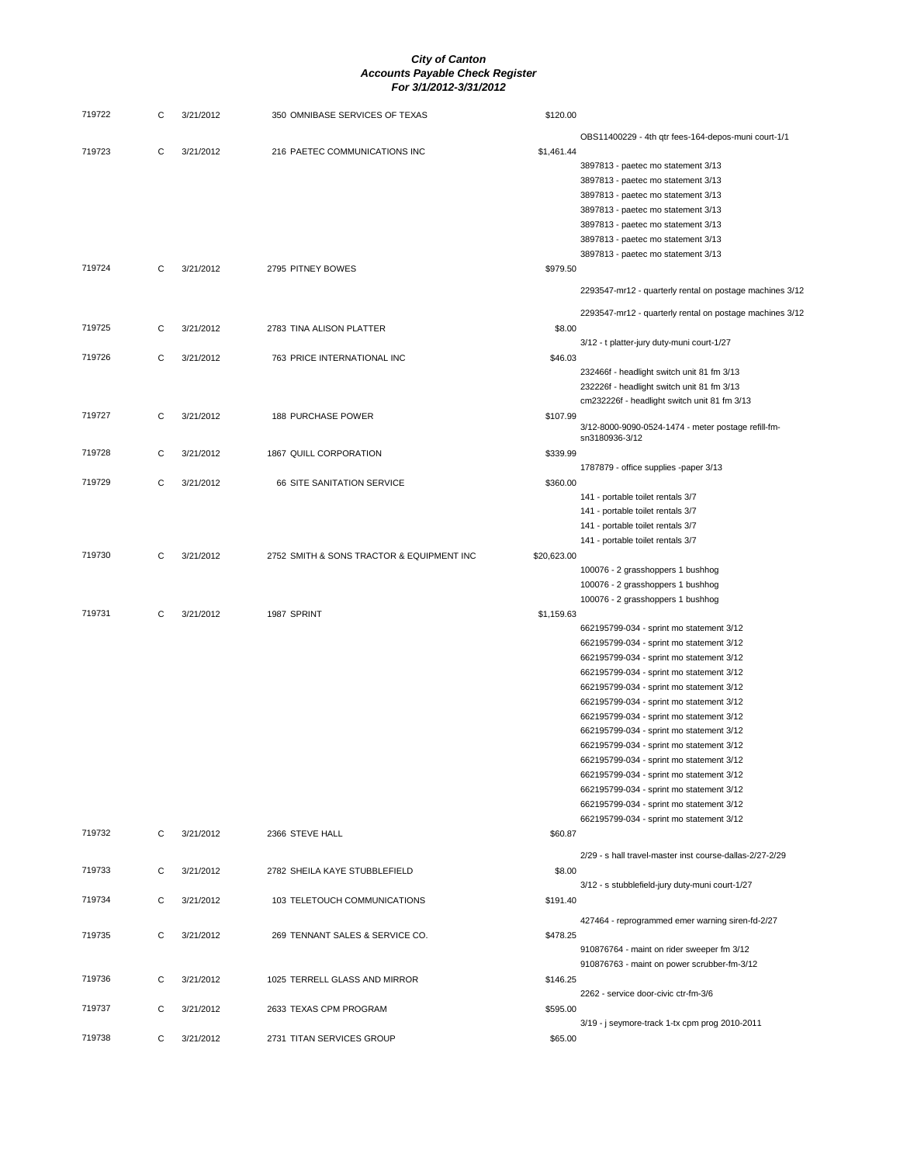| 719722 | С | 3/21/2012 | 350 OMNIBASE SERVICES OF TEXAS            | \$120.00    |                                                          |
|--------|---|-----------|-------------------------------------------|-------------|----------------------------------------------------------|
|        |   |           |                                           |             | OBS11400229 - 4th qtr fees-164-depos-muni court-1/1      |
| 719723 | C | 3/21/2012 | 216 PAETEC COMMUNICATIONS INC             | \$1,461.44  |                                                          |
|        |   |           |                                           |             | 3897813 - paetec mo statement 3/13                       |
|        |   |           |                                           |             | 3897813 - paetec mo statement 3/13                       |
|        |   |           |                                           |             | 3897813 - paetec mo statement 3/13                       |
|        |   |           |                                           |             | 3897813 - paetec mo statement 3/13                       |
|        |   |           |                                           |             | 3897813 - paetec mo statement 3/13                       |
|        |   |           |                                           |             | 3897813 - paetec mo statement 3/13                       |
|        |   |           |                                           |             | 3897813 - paetec mo statement 3/13                       |
| 719724 | C | 3/21/2012 | 2795 PITNEY BOWES                         | \$979.50    |                                                          |
|        |   |           |                                           |             |                                                          |
|        |   |           |                                           |             | 2293547-mr12 - quarterly rental on postage machines 3/12 |
|        |   |           |                                           |             | 2293547-mr12 - quarterly rental on postage machines 3/12 |
| 719725 | C | 3/21/2012 | 2783 TINA ALISON PLATTER                  | \$8.00      |                                                          |
|        |   |           |                                           |             | 3/12 - t platter-jury duty-muni court-1/27               |
| 719726 | C | 3/21/2012 | 763 PRICE INTERNATIONAL INC               | \$46.03     |                                                          |
|        |   |           |                                           |             |                                                          |
|        |   |           |                                           |             | 232466f - headlight switch unit 81 fm 3/13               |
|        |   |           |                                           |             | 232226f - headlight switch unit 81 fm 3/13               |
|        |   |           |                                           |             | cm232226f - headlight switch unit 81 fm 3/13             |
| 719727 | C | 3/21/2012 | 188 PURCHASE POWER                        | \$107.99    | 3/12-8000-9090-0524-1474 - meter postage refill-fm-      |
|        |   |           |                                           |             | sn3180936-3/12                                           |
| 719728 | С | 3/21/2012 | 1867 QUILL CORPORATION                    | \$339.99    |                                                          |
|        |   |           |                                           |             | 1787879 - office supplies -paper 3/13                    |
| 719729 | C | 3/21/2012 | 66 SITE SANITATION SERVICE                | \$360.00    |                                                          |
|        |   |           |                                           |             | 141 - portable toilet rentals 3/7                        |
|        |   |           |                                           |             | 141 - portable toilet rentals 3/7                        |
|        |   |           |                                           |             | 141 - portable toilet rentals 3/7                        |
|        |   |           |                                           |             | 141 - portable toilet rentals 3/7                        |
| 719730 | С | 3/21/2012 | 2752 SMITH & SONS TRACTOR & EQUIPMENT INC | \$20,623.00 |                                                          |
|        |   |           |                                           |             | 100076 - 2 grasshoppers 1 bushhog                        |
|        |   |           |                                           |             |                                                          |
|        |   |           |                                           |             | 100076 - 2 grasshoppers 1 bushhog                        |
|        |   |           |                                           |             | 100076 - 2 grasshoppers 1 bushhog                        |
| 719731 | С | 3/21/2012 | 1987 SPRINT                               | \$1,159.63  |                                                          |
|        |   |           |                                           |             | 662195799-034 - sprint mo statement 3/12                 |
|        |   |           |                                           |             | 662195799-034 - sprint mo statement 3/12                 |
|        |   |           |                                           |             | 662195799-034 - sprint mo statement 3/12                 |
|        |   |           |                                           |             | 662195799-034 - sprint mo statement 3/12                 |
|        |   |           |                                           |             | 662195799-034 - sprint mo statement 3/12                 |
|        |   |           |                                           |             | 662195799-034 - sprint mo statement 3/12                 |
|        |   |           |                                           |             | 662195799-034 - sprint mo statement 3/12                 |
|        |   |           |                                           |             | 662195799-034 - sprint mo statement 3/12                 |
|        |   |           |                                           |             | 662195799-034 - sprint mo statement 3/12                 |
|        |   |           |                                           |             | 662195799-034 - sprint mo statement 3/12                 |
|        |   |           |                                           |             | 662195799-034 - sprint mo statement 3/12                 |
|        |   |           |                                           |             | 662195799-034 - sprint mo statement 3/12                 |
|        |   |           |                                           |             | 662195799-034 - sprint mo statement 3/12                 |
|        |   |           |                                           |             | 662195799-034 - sprint mo statement 3/12                 |
| 719732 | C | 3/21/2012 | 2366 STEVE HALL                           | \$60.87     |                                                          |
|        |   |           |                                           |             | 2/29 - s hall travel-master inst course-dallas-2/27-2/29 |
|        |   |           |                                           |             |                                                          |
| 719733 | С | 3/21/2012 | 2782 SHEILA KAYE STUBBLEFIELD             | \$8.00      |                                                          |
|        |   |           |                                           |             | 3/12 - s stubblefield-jury duty-muni court-1/27          |
| 719734 | C | 3/21/2012 | 103 TELETOUCH COMMUNICATIONS              | \$191.40    |                                                          |
|        |   |           |                                           |             | 427464 - reprogrammed emer warning siren-fd-2/27         |
| 719735 | C | 3/21/2012 | 269 TENNANT SALES & SERVICE CO.           | \$478.25    |                                                          |
|        |   |           |                                           |             | 910876764 - maint on rider sweeper fm 3/12               |
|        |   |           |                                           |             | 910876763 - maint on power scrubber-fm-3/12              |
| 719736 | C | 3/21/2012 | 1025 TERRELL GLASS AND MIRROR             | \$146.25    |                                                          |
|        |   |           |                                           |             | 2262 - service door-civic ctr-fm-3/6                     |
| 719737 | С | 3/21/2012 | 2633 TEXAS CPM PROGRAM                    | \$595.00    |                                                          |
|        |   |           |                                           |             | 3/19 - j seymore-track 1-tx cpm prog 2010-2011           |
| 719738 | C | 3/21/2012 | 2731 TITAN SERVICES GROUP                 | \$65.00     |                                                          |
|        |   |           |                                           |             |                                                          |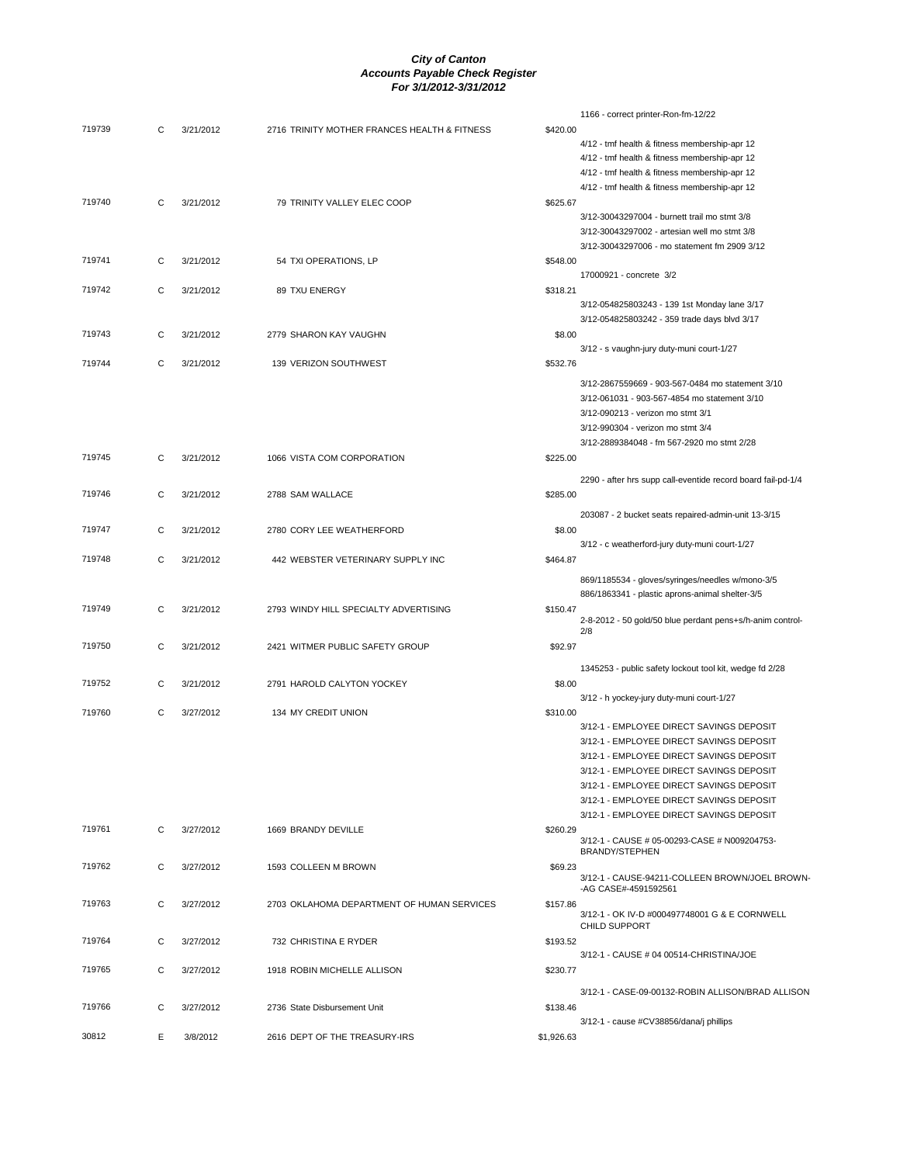|        |   |           |                                              |            | 1166 - correct printer-Ron-fm-12/22                            |
|--------|---|-----------|----------------------------------------------|------------|----------------------------------------------------------------|
| 719739 | С | 3/21/2012 | 2716 TRINITY MOTHER FRANCES HEALTH & FITNESS | \$420.00   |                                                                |
|        |   |           |                                              |            | 4/12 - tmf health & fitness membership-apr 12                  |
|        |   |           |                                              |            |                                                                |
|        |   |           |                                              |            | 4/12 - tmf health & fitness membership-apr 12                  |
|        |   |           |                                              |            | 4/12 - tmf health & fitness membership-apr 12                  |
|        |   |           |                                              |            | 4/12 - tmf health & fitness membership-apr 12                  |
| 719740 | C | 3/21/2012 | 79 TRINITY VALLEY ELEC COOP                  | \$625.67   |                                                                |
|        |   |           |                                              |            | 3/12-30043297004 - burnett trail mo stmt 3/8                   |
|        |   |           |                                              |            | 3/12-30043297002 - artesian well mo stmt 3/8                   |
|        |   |           |                                              |            | 3/12-30043297006 - mo statement fm 2909 3/12                   |
|        |   |           |                                              |            |                                                                |
| 719741 | C | 3/21/2012 | 54 TXI OPERATIONS, LP                        | \$548.00   |                                                                |
|        |   |           |                                              |            | 17000921 - concrete 3/2                                        |
| 719742 | C | 3/21/2012 | 89 TXU ENERGY                                | \$318.21   |                                                                |
|        |   |           |                                              |            | 3/12-054825803243 - 139 1st Monday lane 3/17                   |
|        |   |           |                                              |            | 3/12-054825803242 - 359 trade days blvd 3/17                   |
|        |   |           |                                              |            |                                                                |
| 719743 | C | 3/21/2012 | 2779 SHARON KAY VAUGHN                       | \$8.00     |                                                                |
|        |   |           |                                              |            | 3/12 - s vaughn-jury duty-muni court-1/27                      |
| 719744 | С | 3/21/2012 | 139 VERIZON SOUTHWEST                        | \$532.76   |                                                                |
|        |   |           |                                              |            |                                                                |
|        |   |           |                                              |            | 3/12-2867559669 - 903-567-0484 mo statement 3/10               |
|        |   |           |                                              |            | 3/12-061031 - 903-567-4854 mo statement 3/10                   |
|        |   |           |                                              |            | 3/12-090213 - verizon mo stmt 3/1                              |
|        |   |           |                                              |            | 3/12-990304 - verizon mo stmt 3/4                              |
|        |   |           |                                              |            | 3/12-2889384048 - fm 567-2920 mo stmt 2/28                     |
|        |   |           |                                              |            |                                                                |
| 719745 | С | 3/21/2012 | 1066 VISTA COM CORPORATION                   | \$225.00   |                                                                |
|        |   |           |                                              |            | 2290 - after hrs supp call-eventide record board fail-pd-1/4   |
|        |   |           |                                              |            |                                                                |
| 719746 | C | 3/21/2012 | 2788 SAM WALLACE                             | \$285.00   |                                                                |
|        |   |           |                                              |            | 203087 - 2 bucket seats repaired-admin-unit 13-3/15            |
| 719747 |   |           |                                              |            |                                                                |
|        | C | 3/21/2012 | 2780 CORY LEE WEATHERFORD                    | \$8.00     |                                                                |
|        |   |           |                                              |            | 3/12 - c weatherford-jury duty-muni court-1/27                 |
| 719748 | С | 3/21/2012 | 442 WEBSTER VETERINARY SUPPLY INC            | \$464.87   |                                                                |
|        |   |           |                                              |            |                                                                |
|        |   |           |                                              |            | 869/1185534 - gloves/syringes/needles w/mono-3/5               |
|        |   |           |                                              |            | 886/1863341 - plastic aprons-animal shelter-3/5                |
| 719749 | C | 3/21/2012 | 2793 WINDY HILL SPECIALTY ADVERTISING        | \$150.47   |                                                                |
|        |   |           |                                              |            | 2-8-2012 - 50 gold/50 blue perdant pens+s/h-anim control-      |
|        |   |           |                                              |            | 2/8                                                            |
| 719750 | C | 3/21/2012 | 2421 WITMER PUBLIC SAFETY GROUP              | \$92.97    |                                                                |
|        |   |           |                                              |            |                                                                |
|        |   |           |                                              |            | 1345253 - public safety lockout tool kit, wedge fd 2/28        |
| 719752 | С | 3/21/2012 | 2791 HAROLD CALYTON YOCKEY                   | \$8.00     |                                                                |
|        |   |           |                                              |            | 3/12 - h yockey-jury duty-muni court-1/27                      |
| 719760 | C | 3/27/2012 | 134 MY CREDIT UNION                          | \$310.00   |                                                                |
|        |   |           |                                              |            | 3/12-1 - EMPLOYEE DIRECT SAVINGS DEPOSIT                       |
|        |   |           |                                              |            |                                                                |
|        |   |           |                                              |            | 3/12-1 - EMPLOYEE DIRECT SAVINGS DEPOSIT                       |
|        |   |           |                                              |            | 3/12-1 - EMPLOYEE DIRECT SAVINGS DEPOSIT                       |
|        |   |           |                                              |            | 3/12-1 - EMPLOYEE DIRECT SAVINGS DEPOSIT                       |
|        |   |           |                                              |            | 3/12-1 - EMPLOYEE DIRECT SAVINGS DEPOSIT                       |
|        |   |           |                                              |            | 3/12-1 - EMPLOYEE DIRECT SAVINGS DEPOSIT                       |
|        |   |           |                                              |            | 3/12-1 - EMPLOYEE DIRECT SAVINGS DEPOSIT                       |
| 719761 |   |           |                                              |            |                                                                |
|        | C | 3/27/2012 | 1669 BRANDY DEVILLE                          | \$260.29   |                                                                |
|        |   |           |                                              |            | 3/12-1 - CAUSE # 05-00293-CASE # N009204753-<br>BRANDY/STEPHEN |
|        |   |           |                                              |            |                                                                |
| 719762 | С | 3/27/2012 | 1593 COLLEEN M BROWN                         | \$69.23    | 3/12-1 - CAUSE-94211-COLLEEN BROWN/JOEL BROWN-                 |
|        |   |           |                                              |            | -AG CASE#-4591592561                                           |
|        |   |           |                                              |            |                                                                |
| 719763 | С | 3/27/2012 | 2703 OKLAHOMA DEPARTMENT OF HUMAN SERVICES   | \$157.86   | 3/12-1 - OK IV-D #000497748001 G & E CORNWELL                  |
|        |   |           |                                              |            | CHILD SUPPORT                                                  |
| 719764 |   |           |                                              |            |                                                                |
|        | C | 3/27/2012 | 732 CHRISTINA E RYDER                        | \$193.52   |                                                                |
|        |   |           |                                              |            | 3/12-1 - CAUSE # 04 00514-CHRISTINA/JOE                        |
| 719765 | C | 3/27/2012 | 1918 ROBIN MICHELLE ALLISON                  | \$230.77   |                                                                |
|        |   |           |                                              |            |                                                                |
|        |   |           |                                              |            | 3/12-1 - CASE-09-00132-ROBIN ALLISON/BRAD ALLISON              |
| 719766 | С | 3/27/2012 | 2736 State Disbursement Unit                 | \$138.46   |                                                                |
|        |   |           |                                              |            | 3/12-1 - cause #CV38856/dana/j phillips                        |
| 30812  | Е | 3/8/2012  | 2616 DEPT OF THE TREASURY-IRS                | \$1,926.63 |                                                                |
|        |   |           |                                              |            |                                                                |